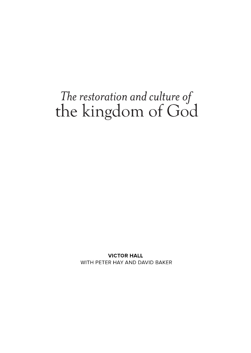# The restoration and culture of<br>the kingdom of God

**VICTOR HALL** WITH PETER HAY AND DAVID BAKER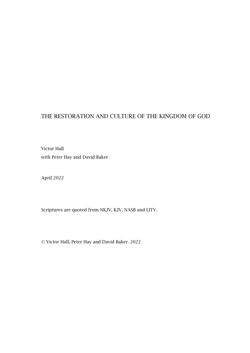#### THE RESTORATION AND CULTURE OF THE KINGDOM OF GOD

Victor Hall with Peter Hay and David Baker

April 2022

Scriptures are quoted from NKJV, KJV, NASB and LITV.

© Victor Hall, Peter Hay and David Baker. 2022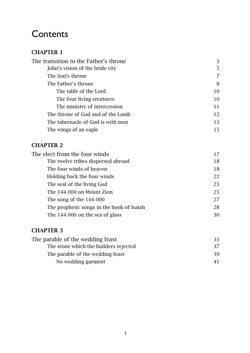### **Contents**

#### [CHAPTER](#page-4-0) 1

| 3  |
|----|
| 5. |
| 7  |
| 8  |
| 10 |
| 10 |
| 11 |
| 12 |
| 13 |
| 15 |
|    |

#### [CHAPTER](#page-18-0) 2

| The elect from the four winds             |    |
|-------------------------------------------|----|
| The twelve tribes dispersed abroad        | 18 |
| The four winds of heaven                  | 18 |
| Holding back the four winds               | 22 |
| The seal of the living God                | 23 |
| The 144 000 on Mount Zion                 | 25 |
| The song of the 144 000                   | 27 |
| The prophetic songs in the book of Isaiah | 28 |
| The 144 000 on the sea of glass           | 30 |
|                                           |    |

#### [CHAPTER](#page-34-0) 3

| The parable of the wedding feast      | -33- |
|---------------------------------------|------|
| The stone which the builders rejected | 37   |
| The parable of the wedding feast      | 39   |
| No wedding garment                    | 41   |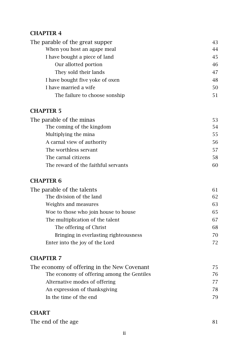#### CHAPTER 4

| The parable of the great supper | 43 |
|---------------------------------|----|
| When you host an agape meal     | 44 |
| I have bought a piece of land   | 45 |
| Our allotted portion            | 46 |
| They sold their lands           | 47 |
| I have bought five yoke of oxen | 48 |
| I have married a wife           | 50 |
| The failure to choose sonship   | 51 |

#### [CHAPTER](#page-54-0) 5

| The parable of the minas            | 53. |
|-------------------------------------|-----|
| The coming of the kingdom           | 54  |
| Multiplying the mina                | 55. |
| A carnal view of authority          | 56  |
| The worthless servant               | 57  |
| The carnal citizens                 | 58  |
| The reward of the faithful servants |     |

#### [CHAPTER](#page-62-0) 6

| The parable of the talents            | 61 |
|---------------------------------------|----|
| The division of the land              | 62 |
| Weights and measures                  | 63 |
| Woe to those who join house to house  | 65 |
| The multiplication of the talent      | 67 |
| The offering of Christ                | 68 |
| Bringing in everlasting righteousness | 70 |
| Enter into the joy of the Lord        | 72 |
|                                       |    |

#### [CHAPTER](#page-76-0) 7

| The economy of offering in the New Covenant | 75. |
|---------------------------------------------|-----|
| The economy of offering among the Gentiles  | 76  |
| Alternative modes of offering               |     |
| An expression of thanksgiving               | 78  |
| In the time of the end                      | 79  |
|                                             |     |

#### **[CHART](#page-82-0)**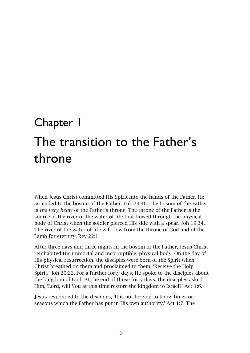## <span id="page-4-1"></span><span id="page-4-0"></span>Chapter 1 The transition to the Father's throne

When Jesus Christ committed His Spirit into the hands of the Father, He ascended to the bosom of the Father. Luk 23:46. The bosom of the Father is *the very heart* of the Father's throne. The throne of the Father is the source of the river of the water of life that flowed through the physical body of Christ when the soldier pierced His side with a spear. Joh 19:34. The river of the water of life will flow from the throne of God and of the Lamb for eternity. Rev 22:1.

After three days and three nights in the bosom of the Father, Jesus Christ reinhabited His immortal and incorruptible, physical body. On the day of His physical resurrection, the disciples were born of the Spirit when Christ breathed on them and proclaimed to them, 'Receive the Holy Spirit.' Joh 20:22. For a further forty days, He spoke to the disciples about the kingdom of God. At the end of those forty days, the disciples asked Him, 'Lord, will You at this time restore the kingdom to Israel?' Act 1:6.

Jesus responded to the disciples, 'It is not for you to know times or seasons which the Father has put in His own authority.' Act 1:7. The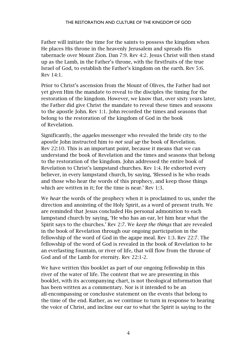Father will initiate the time for the saints to possess the kingdom when He places His throne in the heavenly Jerusalem and spreads His tabernacle over Mount Zion. Dan 7:9. Rev 4:2. Jesus Christ will then stand up as the Lamb, in the Father's throne, with the firstfruits of the true Israel of God, to establish the Father's kingdom on the earth. Rev 5:6. Rev 14:1.

Prior to Christ's ascension from the Mount of Olives, the Father had not yet given Him the mandate to reveal to the disciples the timing for the restoration of the kingdom. However, we know that, over sixty years later, the Father did give Christ the mandate to reveal these times and seasons to the apostle John. Rev 1:1. John recorded the times and seasons that belong to the restoration of the kingdom of God in the book of Revelation.

Significantly, the *aggelos* messenger who revealed the bride city to the apostle John instructed him to *not seal up* the book of Revelation. Rev 22:10. This is an important point, because it means that we can understand the book of Revelation and the times and seasons that belong to the restoration of the kingdom. John addressed the entire book of Revelation to Christ's lampstand churches. Rev 1:4. He exhorted every believer, in every lampstand church, by saying, 'Blessed is he who reads and those who hear the words of this prophecy, and keep those things which are written in it; for the time is near.' Rev 1:3.

We *hear* the words of the prophecy when it is proclaimed to us, under the direction and anointing of the Holy Spirit, as a word of present truth. We are reminded that Jesus concluded His personal admonition to each lampstand church by saying, 'He who has an ear, let him hear what the Spirit says to the churches.' Rev 2:7. We *keep the things* that are revealed in the book of Revelation through our ongoing participation in the fellowship of the word of God in the agape meal. Rev 1:3. Rev 22:7. The fellowship of the word of God is revealed in the book of Revelation to be an everlasting fountain, or river of life, that will flow from the throne of God and of the Lamb for eternity. Rev 22:1-2.

We have written this booklet as part of our ongoing fellowship in this river of the water of life. The content that we are presenting in this booklet, with its accompanying chart, is not theological information that has been written as a commentary. Nor is it intended to be an all-encompassing or conclusive statement on the events that belong to the time of the end. Rather, as we continue to turn in response to hearing the voice of Christ, and incline our ear to what the Spirit is saying to the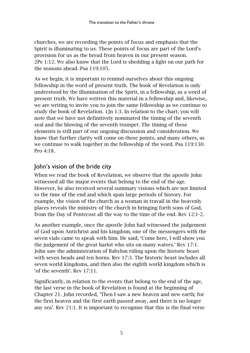churches, we are recording the points of focus and emphasis that the Spirit is illuminating to us. These points of focus are part of the Lord's provision for us as the bread from heaven in our present season. 2Pe 1:12. We also know that the Lord is shedding a light on our path for the seasons ahead. Psa 119:105.

As we begin, it is important to remind ourselves about this ongoing fellowship in the word of present truth. The book of Revelation is only understood by the illumination of the Spirit, in a fellowship, as a word of present truth. We have written this material in a fellowship and, likewise, we are writing to invite you to join the same fellowship as we continue to study the book of Revelation. 1Jn 1:3. In relation to the chart, you will note that we have not definitively nominated the timing of the seventh seal and the blowing of the seventh trumpet. The timing of these elements is still part of our ongoing discussion and consideration. We know that further clarity will come on these points, and many others, as we continue to walk together in the fellowship of the word. Psa 119:130. Pro 4:18.

#### <span id="page-6-0"></span>John's vision of the bride city

When we read the book of Revelation, we observe that the apostle John witnessed all the major events that belong to the end of the age. However, he also received several summary visions which are not limited to the time of the end and which span large periods of history. For example, the vision of the church as a woman in travail in the heavenly places reveals the ministry of the church in bringing forth sons of God, from the Day of Pentecost all the way to the time of the end. Rev 12:1-2.

As another example, once the apostle John had witnessed the judgement of God upon Antichrist and his kingdom, one of the messengers with the seven vials came to speak with him. He said, 'Come here, I will show you the judgement of the great harlot who sits on many waters.' Rev 17:1. John saw the administration of Babylon riding upon the historic beast with seven heads and ten horns. Rev 17:3. The historic beast includes all seven world kingdoms, and then also the eighth world kingdom which is 'of the seventh'. Rev 17:11.

Significantly, in relation to the events that belong to the end of the age, the last verse in the book of Revelation is found at the beginning of Chapter 21. John recorded, 'Then I saw a new heaven and new earth; for the first heaven and the first earth passed away, and there is no longer any sea'. Rev 21:1. It is important to recognise that this is the final verse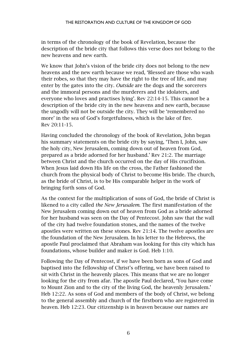in terms of the chronology of the book of Revelation, because the description of the bride city that follows this verse does not belong to the new heavens and new earth.

We know that John's vision of the bride city does not belong to the new heavens and the new earth because we read, 'Blessed are those who wash their robes, so that they may have the right to the tree of life, and may enter by the gates into the city. *Outside* are the dogs and the sorcerers and the immoral persons and the murderers and the idolaters, and everyone who loves and practises lying'. Rev 22:14-15. This cannot be a description of the bride city in the new heavens and new earth, because the ungodly will not be outside the city. They will be 'remembered no more' in the sea of God's forgetfulness, which is the lake of fire. Rev 20:11-15.

Having concluded the chronology of the book of Revelation, John began his summary statements on the bride city by saying, 'Then I, John, saw the holy city, New Jerusalem, coming down out of heaven from God, prepared as a bride adorned for her husband.' Rev 21:2. The marriage between Christ and the church occurred on the day of His crucifixion. When Jesus laid down His life on the cross, the Father fashioned the church from the physical body of Christ to become His bride. The church, as the bride of Christ, is to be His comparable helper in the work of bringing forth sons of God.

As the context for the multiplication of sons of God, the bride of Christ is likened to a city called *the New Jerusalem*. The first manifestation of the New Jerusalem coming down out of heaven from God as a bride adorned for her husband was seen on the Day of Pentecost. John saw that the wall of the city had twelve foundation stones, and the names of the twelve apostles were written on these stones. Rev 21:14. The twelve apostles are the foundation of the New Jerusalem. In his letter to the Hebrews, the apostle Paul proclaimed that Abraham was looking for this city which has foundations, whose builder and maker is God. Heb 1:10.

Following the Day of Pentecost, if we have been born as sons of God and baptised into the fellowship of Christ's offering, we have been raised to sit with Christ in the heavenly places. This means that we are no longer looking for the city from afar. The apostle Paul declared, 'You have come to Mount Zion and to the city of the living God, the heavenly Jerusalem.' Heb 12:22. As sons of God and members of the body of Christ, we belong to the general assembly and church of the firstborn who are registered in heaven. Heb 12:23. Our citizenship is in heaven because our names are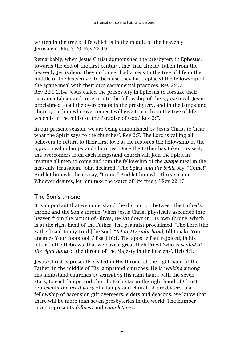written in the tree of life which is in the middle of the heavenly Jerusalem. Php 3:20. Rev 22:19.

Remarkably, when Jesus Christ admonished the presbytery in Ephesus, towards the end of the first century, they had already fallen from the heavenly Jerusalem. They no longer had access to the tree of life in the middle of the heavenly city, because they had replaced the fellowship of the agape meal with their own sacramental practices. Rev 2:4,7. Rev 22:1-2,14. Jesus called the presbytery in Ephesus to forsake their sacramentalism and to return to the fellowship of the *agape* meal. Jesus proclaimed to all the overcomers in the presbytery, and in the lampstand church, 'To him who overcomes I will give to eat from the tree of life, which is in the midst of the Paradise of God.' Rev 2:7.

In our present season, we are being admonished by Jesus Christ to 'hear what the Spirit says to the churches'. Rev 2:7. The Lord is calling all believers to return to their first love as He restores the fellowship of the *agape* meal in lampstand churches. Once the Father has taken His seat, the overcomers from each lampstand church will join the Spirit in inviting all men to come and join the fellowship of the *agape* meal in the heavenly Jerusalem. John declared, 'The Spirit *and the bride* say, "Come!" And let him who hears say, "Come!" And let him who thirsts come. Whoever desires, let him take the water of life freely.' Rev 22:17.

#### <span id="page-8-0"></span>The Son's throne

It is important that we understand the distinction between the Father's throne and the Son's throne. When Jesus Christ physically ascended into heaven from the Mount of Olives, He sat down in His own throne, which is at the right hand of the Father. The psalmist proclaimed, 'The Lord [the Father] said to my Lord [the Son], "*Sit at My right hand*, till I make Your enemies Your footstool".' Psa 110:1. The apostle Paul rejoiced, in his letter to the Hebrews, that we have a great High Priest 'who is *seated at the right hand* of the throne of the Majesty in the heavens'. Heb 8:1.

Jesus Christ is presently seated in His throne, at the right hand of the Father, in the middle of His lampstand churches. He is *walking* among His lampstand churches by *extending* His right hand, with the seven stars, to each lampstand church. Each star in the right hand of Christ represents *the presbytery* of a lampstand church. A presbytery is a fellowship of ascension gift overseers, elders and deacons. We know that there will be more than seven presbyteries in the world. The number seven represents *fullness* and *completeness*.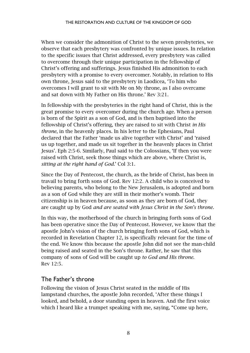When we consider the admonition of Christ to the seven presbyteries, we observe that each presbytery was confronted by unique issues. In relation to the specific issues that Christ addressed, every presbytery was called to overcome through their unique participation in the fellowship of Christ's offering and sufferings. Jesus finished His admonition to each presbytery with a promise to every overcomer. Notably, in relation to His own throne, Jesus said to the presbytery in Laodicea, 'To him who overcomes I will grant to sit with Me on My throne, as I also overcame and sat down with My Father on His throne.' Rev 3:21.

In fellowship with the presbyteries in the right hand of Christ, this is the great promise to every overcomer during the church age. When a person is born of the Spirit as a son of God, and is then baptised into the fellowship of Christ's offering, they are raised to sit with Christ *in His throne*, in the heavenly places. In his letter to the Ephesians, Paul declared that the Father 'made us alive together with Christ' and 'raised us up together, and made us sit together in the heavenly places in Christ Jesus'. Eph 2:5-6. Similarly, Paul said to the Colossians, 'If then you were raised with Christ, seek those things which are above, where Christ is, *sitting at the right hand of God.*' Col 3:1.

Since the Day of Pentecost, the church, as the bride of Christ, has been in travail to bring forth sons of God. Rev 12:2. A child who is conceived to believing parents, who belong to the New Jerusalem, is adopted and born as a son of God while they are still in their mother's womb. Their citizenship is in heaven because, as soon as they are born of God, they are caught up by God *and are seated with Jesus Christ in the Son's throne.*

In this way, the motherhood of the church in bringing forth sons of God has been operative since the Day of Pentecost. However, we know that the apostle John's vision of the church bringing forth sons of God, which is recorded in Revelation Chapter 12, is specifically relevant for the time of the end. We know this because the apostle John did not see the man-child being raised and seated in the Son's throne. Rather, he saw that this company of sons of God will be caught up *to God and His throne*. Rev 12:5.

#### <span id="page-9-0"></span>The Father's throne

Following the vision of Jesus Christ seated in the middle of His lampstand churches, the apostle John recorded, 'After these things I looked, and behold, a door standing open in heaven. And the first voice which I heard like a trumpet speaking with me, saying, "Come up here,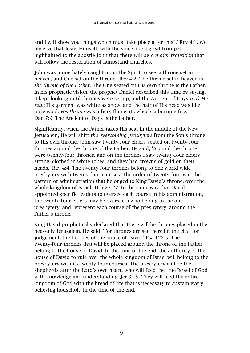and I will show you things which must take place after this".' Rev 4:1. We observe that Jesus Himself, with the voice like a great trumpet, highlighted to the apostle John that there will be *a major transition* that will follow the restoration of lampstand churches.

John was immediately caught up in the Spirit to see 'a throne set in heaven, and One sat on the throne'. Rev 4:2. The throne set in heaven is *the throne of the Father*. The One seated on His own throne is the Father. In his prophetic vision, the prophet Daniel described this time by saying, 'I kept looking until thrones were set up, and the Ancient of Days *took His seat*; His garment was white as snow, and the hair of His head was like pure wool. *His throne* was a fiery flame, its wheels a burning fire.' Dan 7:9. The Ancient of Days is the Father.

Significantly, when the Father takes His seat in the middle of the New Jerusalem, He will shift *the overcoming presbyters* from the Son's throne to His own throne. John saw twenty-four elders seated on twenty-four thrones around the throne of the Father. He said, 'Around the throne were twenty-four thrones, and on the thrones I saw twenty-four elders sitting, clothed in white robes; and they had crowns of gold on their heads.' Rev 4:4. The twenty-four thrones belong to one world-wide presbytery with twenty-four courses. The order of twenty-four was the pattern of administration that belonged to King David's throne, over the whole kingdom of Israel. 1Ch 23-27. In the same way that David appointed specific leaders to oversee each course in his administration, the twenty-four elders may be overseers who belong to the one presbytery, and represent each course of the presbytery, around the Father's throne.

King David prophetically declared that there will be thrones placed in the heavenly Jerusalem. He said, 'For thrones are set there [in the city] for judgement, the thrones of the house of David.' Psa 122:5. The twenty-four thrones that will be placed around the throne of the Father belong to the house of David. In the time of the end, the authority of the house of David to rule over the whole kingdom of Israel will belong to the presbytery with its twenty-four courses. The presbytery will be the shepherds after the Lord's own heart, who will feed the true Israel of God with knowledge and understanding. Jer 3:15. They will feed the entire kingdom of God with the bread of life that is necessary to sustain every believing household in the time of the end.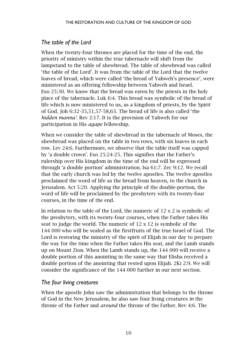#### <span id="page-11-0"></span>*The table of the Lord*

When the twenty-four thrones are placed for the time of the end, the priority of ministry within the true tabernacle will shift from the lampstand to the table of shewbread. The table of shewbread was called 'the table of the Lord'. It was from the table of the Lord that the twelve loaves of bread, which were called 'the bread of Yahweh's presence', were ministered as an offering fellowship between Yahweh and Israel. Exo 25:30. We know that the bread was eaten by the priests in the holy place of the tabernacle. Luk 6:4. This bread was symbolic of the bread of life which is now ministered to us, as a kingdom of priests, by the Spirit of God. Joh 6:32-35,51,57-58,63. The bread of life is also called 'the *hidden manna'.* Rev 2:17. It is the provision of Yahweh for our participation in His *agape* fellowship.

When we consider the table of shewbread in the tabernacle of Moses, the shewbread was placed on the table in two rows, with six loaves in each row. Lev 24:6. Furthermore, we observe that the table itself was capped by 'a double crown'. Exo 25:24-25. This signifies that the Father's rulership over His kingdom in the time of the end will be expressed through 'a double portion' administration. Isa 61:7. Zec 9:12. We recall that the early church was led by the twelve apostles. The twelve apostles proclaimed the word of life as the bread from heaven, to the church in Jerusalem. Act 5:20. Applying the principle of the double-portion, the word of life will be proclaimed by the presbytery with its twenty-four courses, in the time of the end.

In relation to the table of the Lord, the numeric of  $12 \times 2$  is symbolic of the presbytery, with its twenty-four courses, when the Father takes His seat to judge the world. The numeric of 12 x 12 is symbolic of the 144 000 who will be sealed as the firstfruits of the true Israel of God. The Lord is restoring the ministry of the spirit of Elijah in our day to prepare the way for the time when the Father takes His seat, and the Lamb stands up on Mount Zion. When the Lamb stands up, the 144 000 will receive a double portion of this anointing in the same way that Elisha received a double portion of the anointing that rested upon Elijah. 2Ki 2:9. We will consider the significance of the 144 000 further in our next section.

#### <span id="page-11-1"></span>*The four living creatures*

When the apostle John saw the administration that belongs to the throne of God in the New Jerusalem, he also saw four living creatures *in* the throne of the Father and *around* the throne of the Father. Rev 4:6. The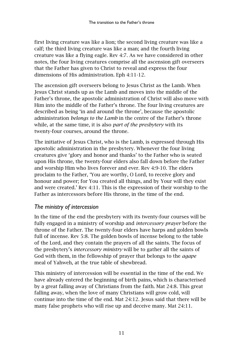first living creature was like a lion; the second living creature was like a calf; the third living creature was like a man; and the fourth living creature was like a flying eagle. Rev 4:7. As we have considered in other notes, the four living creatures comprise all the ascension gift overseers that the Father has given to Christ to reveal and express the four dimensions of His administration. Eph 4:11-12.

The ascension gift overseers belong to Jesus Christ as the Lamb. When Jesus Christ stands up as the Lamb and moves into the middle of the Father's throne, the apostolic administration of Christ will also move with Him into the middle of the Father's throne. The four living creatures are described as being 'in and around the throne', because the apostolic administration *belongs to the Lamb* in the centre of the Father's throne while, at the same time, it is also *part of the presbytery* with its twenty-four courses, around the throne.

The initiative of Jesus Christ, who is the Lamb, is expressed through His apostolic administration in the presbytery. Whenever the four living creatures give 'glory and honor and thanks' to the Father who is seated upon His throne, the twenty-four elders also fall down before the Father and worship Him who lives forever and ever. Rev 4:9-10. The elders proclaim to the Father, 'You are worthy, O Lord, to receive glory and honour and power; for You created all things, and by Your will they exist and were created.' Rev 4:11. This is the expression of their worship to the Father as intercessors before His throne, in the time of the end.

#### <span id="page-12-0"></span>*The ministry of intercession*

In the time of the end the presbytery with its twenty-four courses will be fully engaged in a ministry of worship and *intercessory prayer* before the throne of the Father. The twenty-four elders have harps and golden bowls full of incense. Rev 5:8. The golden bowls of incense belong to the table of the Lord, and they contain the prayers of all the saints. The focus of the presbytery's *intercessory ministry* will be to gather all the saints of God with them, in the fellowship of prayer that belongs to the *agape* meal of Yahweh, at the true table of shewbread.

This ministry of intercession will be essential in the time of the end. We have already entered the beginning of birth pains, which is characterised by a great falling away of Christians from the faith. Mat 24:8. This great falling away, when the love of many Christians will grow cold, will continue into the time of the end. Mat 24:12. Jesus said that there will be many false prophets who will rise up and deceive many. Mat 24:11.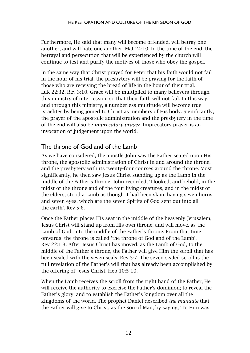Furthermore, He said that many will become offended, will betray one another, and will hate one another. Mat 24:10. In the time of the end, the betrayal and persecution that will be experienced by the church will continue to test and purify the motives of those who obey the gospel.

In the same way that Christ prayed for Peter that his faith would not fail in the hour of his trial, the presbytery will be praying for the faith of those who are receiving the bread of life in the hour of their trial. Luk 22:32. Rev 3:10. Grace will be multiplied to many believers through this ministry of intercession so that their faith will not fail. In this way, and through this ministry, a numberless multitude will become true Israelites by being joined to Christ as members of His body. Significantly, the prayer of the apostolic administration and the presbytery in the time of the end will also be *imprecatory prayer*. Imprecatory prayer is an invocation of judgement upon the world.

#### <span id="page-13-0"></span>The throne of God and of the Lamb

As we have considered, the apostle John saw the Father seated upon His throne, the apostolic administration of Christ in and around the throne, and the presbytery with its twenty-four courses around the throne. Most significantly, he then saw Jesus Christ standing up as the Lamb in the middle of the Father's throne. John recorded, 'I looked, and behold, in the midst of the throne and of the four living creatures, and in the midst of the elders, stood a Lamb as though it had been slain, having seven horns and seven eyes, which are the seven Spirits of God sent out into all the earth'. Rev 5:6.

Once the Father places His seat in the middle of the heavenly Jerusalem, Jesus Christ will stand up from His own throne, and will move, as the Lamb of God, into the middle of the Father's throne. From that time onwards, the throne is called 'the throne of God and of the Lamb'. Rev 22:1,3. After Jesus Christ has moved, as the Lamb of God, to the middle of the Father's throne, the Father will give Him the scroll that has been sealed with the seven seals. Rev 5:7. The seven-sealed scroll is the full revelation of the Father's will that has already been accomplished by the offering of Jesus Christ. Heb 10:5-10.

When the Lamb receives the scroll from the right hand of the Father, He will receive the authority to exercise the Father's dominion; to reveal the Father's glory; and to establish the Father's kingdom over all the kingdoms of the world. The prophet Daniel described *the mandate* that the Father will give to Christ, as the Son of Man, by saying, 'To Him was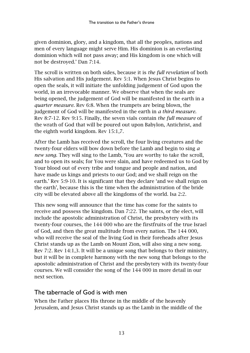given dominion, glory, and a kingdom, that all the peoples, nations and men of every language might serve Him. His dominion is an everlasting dominion which will not pass away; and His kingdom is one which will not be destroyed.' Dan 7:14.

The scroll is written on both sides, because it is *the full revelation* of both His salvation and His judgement. Rev 5:1. When Jesus Christ begins to open the seals, it will initiate the unfolding judgement of God upon the world, in an irrevocable manner. We observe that when the seals are being opened, the judgement of God will be manifested in the earth in a *quarter measure.* Rev 6:8. When the trumpets are being blown, the judgement of God will be manifested in the earth in *a third measure.*  Rev 8:7-12. Rev 9:15. Finally, the seven vials contain *the full measure* of the wrath of God that will be poured out upon Babylon, Antichrist, and the eighth world kingdom. Rev 15:1,7.

After the Lamb has received the scroll, the four living creatures and the twenty-four elders will bow down before the Lamb and begin to sing *a new song*. They will sing to the Lamb, 'You are worthy to take the scroll, and to open its seals; for You were slain, and have redeemed us to God by Your blood out of every tribe and tongue and people and nation, and have made us kings and priests to our God; and we shall reign on the earth.' Rev 5:9-10. It is significant that they declare 'and we shall reign on the earth', because this is the time when the administration of the bride city will be elevated above all the kingdoms of the world. Isa 2:2.

This new song will announce that the time has come for the saints to receive and possess the kingdom. Dan 7:22. The saints, or the elect, will include the apostolic administration of Christ, the presbytery with its twenty-four courses, the 144 000 who are the firstfruits of the true Israel of God, and then the great multitude from every nation. The 144 000, who will receive the seal of the living God in their foreheads after Jesus Christ stands up as the Lamb on Mount Zion, will also sing a new song. Rev 7:2. Rev 14:1,3. It will be a unique song that belongs to their ministry, but it will be in complete harmony with the new song that belongs to the apostolic administration of Christ and the presbytery with its twenty-four courses. We will consider the song of the 144 000 in more detail in our next section.

#### <span id="page-14-0"></span>The tabernacle of God is with men

When the Father places His throne in the middle of the heavenly Jerusalem, and Jesus Christ stands up as the Lamb in the middle of the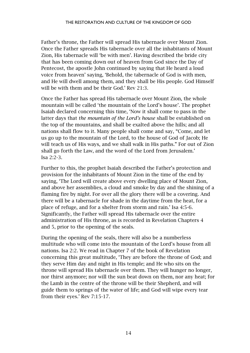Father's throne, the Father will spread His tabernacle over Mount Zion. Once the Father spreads His tabernacle over all the inhabitants of Mount Zion, His tabernacle will 'be with men'. Having described the bride city that has been coming down out of heaven from God since the Day of Pentecost, the apostle John continued by saying that He heard a loud voice from heaven' saying, 'Behold, the tabernacle of God is with men, and He will dwell among them, and they shall be His people. God Himself will be with them and be their God.' Rev 21:3.

Once the Father has spread His tabernacle over Mount Zion, the whole mountain will be called 'the mountain of the Lord's house'. The prophet Isaiah declared concerning this time, 'Now it shall come to pass in the latter days that *the mountain of the Lord's house* shall be established on the top of the mountains, and shall be exalted above the hills; and all nations shall flow to it. Many people shall come and say, "Come, and let us go up to the mountain of the Lord, to the house of God of Jacob; He will teach us of His ways, and we shall walk in His paths." For out of Zion shall go forth the Law, and the word of the Lord from Jerusalem.' Isa 2:2-3.

Further to this, the prophet Isaiah described the Father's protection and provision for the inhabitants of Mount Zion in the time of the end by saying, 'The Lord will create above every dwelling place of Mount Zion, and above her assemblies, a cloud and smoke by day and the shining of a flaming fire by night. For over all the glory there will be a covering. And there will be a tabernacle for shade in the daytime from the heat, for a place of refuge, and for a shelter from storm and rain.' Isa 4:5-6. Significantly, the Father will spread His tabernacle over the entire administration of His throne, as is recorded in Revelation Chapters 4 and 5, prior to the opening of the seals.

During the opening of the seals, there will also be a numberless multitude who will come into the mountain of the Lord's house from all nations. Isa 2:2. We read in Chapter 7 of the book of Revelation concerning this great multitude, 'They are before the throne of God; and they serve Him day and night in His temple; and He who sits on the throne will spread His tabernacle over them. They will hunger no longer, nor thirst anymore; nor will the sun beat down on them, nor any heat; for the Lamb in the centre of the throne will be their Shepherd, and will guide them to springs of the water of life; and God will wipe every tear from their eyes.' Rev 7:15-17.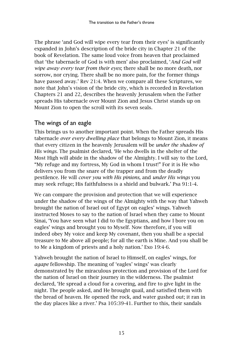The phrase 'and God will wipe every tear from their eyes' is significantly expanded in John's description of the bride city in Chapter 21 of the book of Revelation. The same loud voice from heaven that proclaimed that 'the tabernacle of God is with men' also proclaimed, '*And God will wipe away every tear from their eyes*; there shall be no more death, nor sorrow, nor crying. There shall be no more pain, for the former things have passed away.' Rev 21:4. When we compare all these Scriptures, we note that John's vision of the bride city, which is recorded in Revelation Chapters 21 and 22, describes the heavenly Jerusalem when the Father spreads His tabernacle over Mount Zion and Jesus Christ stands up on Mount Zion to open the scroll with its seven seals.

#### <span id="page-16-0"></span>The wings of an eagle

This brings us to another important point. When the Father spreads His tabernacle *over every dwelling place* that belongs to Mount Zion, it means that every citizen in the heavenly Jerusalem will be *under the shadow of His wings.* The psalmist declared, 'He who dwells in the shelter of the Most High will abide in the shadow of the Almighty. I will say to the Lord, "My refuge and my fortress, My God in whom I trust!" For it is He who delivers you from the snare of the trapper and from the deadly pestilence. He will *cover you with His pinions,* and *under His wings* you may seek refuge; His faithfulness is a shield and bulwark.' Psa 91:1-4.

We can compare the provision and protection that we will experience under the shadow of the wings of the Almighty with the way that Yahweh brought the nation of Israel out of Egypt on eagles' wings. Yahweh instructed Moses to say to the nation of Israel when they came to Mount Sinai, 'You have seen what I did to the Egyptians, and how I bore you on eagles' wings and brought you to Myself. Now therefore, if you will indeed obey My voice and keep My covenant, then you shall be a special treasure to Me above all people; for all the earth is Mine. And you shall be to Me a kingdom of priests and a holy nation.' Exo 19:4-6.

Yahweh brought the nation of Israel to Himself, on eagles' wings, for *agape* fellowship. The meaning of 'eagles' wings' was clearly demonstrated by the miraculous protection and provision of the Lord for the nation of Israel on their journey in the wilderness. The psalmist declared, 'He spread a cloud for a covering, and fire to give light in the night. The people asked, and He brought quail, and satisfied them with the bread of heaven. He opened the rock, and water gushed out; it ran in the day places like a river.' Psa 105:39-41. Further to this, their sandals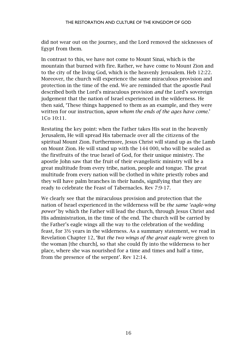did not wear out on the journey, and the Lord removed the sicknesses of Egypt from them.

In contrast to this, we have not come to Mount Sinai, which is the mountain that burned with fire. Rather, we have come to Mount Zion and to the city of the living God, which is the heavenly Jerusalem. Heb 12:22. Moreover, the church will experience the same miraculous provision and protection in the time of the end. We are reminded that the apostle Paul described both the Lord's miraculous provision *and* the Lord's sovereign judgement that the nation of Israel experienced in the wilderness. He then said, 'These things happened to them as an example, and they were written for our instruction, *upon whom the ends of the ages have come.*' 1Co 10:11.

Restating the key point: when the Father takes His seat in the heavenly Jerusalem, He will spread His tabernacle over all the citizens of the spiritual Mount Zion. Furthermore, Jesus Christ will stand up as the Lamb on Mount Zion. He will stand up with the 144 000, who will be sealed as the firstfruits of the true Israel of God, for their unique ministry. The apostle John saw that the fruit of their evangelistic ministry will be a great multitude from every tribe, nation, people and tongue. The great multitude from every nation will be clothed in white priestly robes and they will have palm branches in their hands, signifying that they are ready to celebrate the Feast of Tabernacles. Rev 7:9-17.

We clearly see that the miraculous provision and protection that the nation of Israel experienced in the wilderness will be *the same 'eagle-wing power'* by which the Father will lead the church, through Jesus Christ and His administration, in the time of the end. The church will be carried by the Father's eagle wings all the way to the celebration of the wedding feast, for 3½ years in the wilderness. As a summary statement, we read in Revelation Chapter 12, 'But *the two wings of the great eagle* were given to the woman [the church], so that she could fly into the wilderness to her place, where she was nourished for a time and times and half a time, from the presence of the serpent'. Rev 12:14.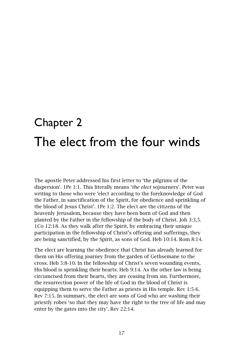### <span id="page-18-1"></span><span id="page-18-0"></span>Chapter 2 The elect from the four winds

The apostle Peter addressed his first letter to 'the pilgrims of the dispersion'. 1Pe 1:1. This literally means '*the elect* sojourners'. Peter was writing to those who were 'elect according to the foreknowledge of God the Father, in sanctification of the Spirit, for obedience and sprinkling of the blood of Jesus Christ'. 1Pe 1:2. The elect are the citizens of the heavenly Jerusalem, because they have been born of God and then planted by the Father in the fellowship of the body of Christ. Joh 3:3,5. 1Co 12:18. As they walk after the Spirit, by embracing their unique participation in the fellowship of Christ's offering and sufferings, they are being sanctified, by the Spirit, as sons of God. Heb 10:14. Rom 8:14.

The elect are learning the obedience that Christ has already learned for them on His offering journey from the garden of Gethsemane to the cross. Heb 5:8-10. In the fellowship of Christ's seven wounding events, His blood is sprinkling their hearts. Heb 9:14. As the other law is being circumcised from their hearts, they are ceasing from sin. Furthermore, the resurrection power of the life of God in the blood of Christ is equipping them to serve the Father as priests in His temple. Rev 1:5-6. Rev 7:15. In summary, the elect are sons of God who are washing their priestly robes 'so that they may have the right to the tree of life and may enter by the gates into the city'. Rev 22:14.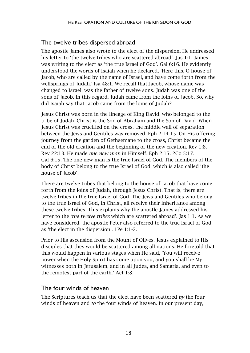#### <span id="page-19-0"></span>The twelve tribes dispersed abroad

The apostle James also wrote to the elect of the dispersion. He addressed his letter to 'the twelve tribes who are scattered abroad'. Jas 1:1. James was writing to the elect as 'the true Israel of God'. Gal 6:16. He evidently understood the words of Isaiah when he declared, 'Here this, O house of Jacob, who are called by the name of Israel, and have come forth from the wellsprings of Judah.' Isa 48:1. We recall that Jacob, whose name was changed to Israel, was the father of twelve sons. Judah was one of the sons of Jacob. In this regard, Judah came from the loins of Jacob. So, why did Isaiah say that Jacob came from the loins of Judah?

Jesus Christ was born in the lineage of King David, who belonged to the tribe of Judah. Christ is the Son of Abraham and the Son of David. When Jesus Christ was crucified on the cross, the middle wall of separation between the Jews and Gentiles was removed. Eph 2:14-15. On His offering journey from the garden of Gethsemane to the cross, Christ became the end of the old creation and the beginning of the new creation. Rev 1:8. Rev 22:13. He made *one new man* in Himself. Eph 2:15. 2Co 5:17. Gal 6:15. The one new man is the true Israel of God. The members of the body of Christ belong to the true Israel of God, which is also called 'the house of Jacob'.

There are twelve tribes that belong to the house of Jacob that have come forth from the loins of Judah, through Jesus Christ. That is, there are twelve tribes in the true Israel of God. The Jews and Gentiles who belong to the true Israel of God, in Christ, all receive their inheritance among these twelve tribes. This explains why the apostle James addressed his letter to the '*the twelve tribes* which are scattered abroad'. Jas 1:1. As we have considered, the apostle Peter also referred to the true Israel of God as 'the elect in the dispersion'. 1Pe 1:1-2.

Prior to His ascension from the Mount of Olives, Jesus explained to His disciples that they would be scattered among all nations. He foretold that this would happen in various stages when He said, 'You will receive power when the Holy Spirit has come upon you; and you shall be My witnesses both in Jerusalem, and in all Judea, and Samaria, and even to the remotest part of the earth.' Act 1:8.

#### <span id="page-19-1"></span>The four winds of heaven

The Scriptures teach us that the elect have been scattered *by* the four winds of heaven and *to* the four winds of heaven. In our present day,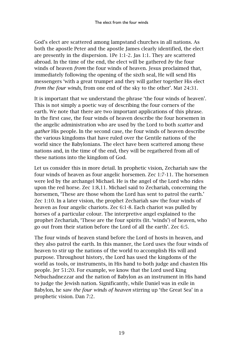God's elect are scattered among lampstand churches in all nations. As both the apostle Peter and the apostle James clearly identified, the elect are presently in the dispersion. 1Pe 1:1-2. Jas 1:1. They are scattered abroad. In the time of the end, the elect will be gathered *by* the four winds of heaven *from* the four winds of heaven. Jesus proclaimed that, immediately following the opening of the sixth seal, He will send His messengers 'with a great trumpet and they will gather together His elect *from the four winds*, from one end of the sky to the other'. Mat 24:31.

It is important that we understand the phrase 'the four winds of heaven'. This is not simply a poetic way of describing the four corners of the earth. We note that there are two important applications of this phrase. In the first case, the four winds of heaven describe the four horsemen in the angelic administration who are used by the Lord to both *scatter* and *gather* His people. In the second case, the four winds of heaven describe the various kingdoms that have ruled over the Gentile nations of the world since the Babylonians. The elect have been scattered among these nations and, in the time of the end, they will be regathered from all of these nations into the kingdom of God.

Let us consider this in more detail. In prophetic vision, Zechariah saw the four winds of heaven as four angelic horsemen. Zec 1:7-11. The horsemen were led by the archangel Michael. He is the angel of the Lord who rides upon the red horse. Zec 1:8,11. Michael said to Zechariah, concerning the horsemen, 'These are those whom the Lord has sent to patrol the earth.' Zec 1:10. In a later vision, the prophet Zechariah saw the four winds of heaven as four angelic chariots. Zec 6:1-8. Each chariot was pulled by horses of a particular colour. The interpretive angel explained to the prophet Zechariah, 'These are the four spirits (lit. 'winds') of heaven, who go out from their station before the Lord of all the earth'. Zec 6:5.

The four winds of heaven stand before the Lord of hosts in heaven, and they also patrol the earth. In this manner, the Lord uses the four winds of heaven to stir up the nations of the world to accomplish His will and purpose. Throughout history, the Lord has used the kingdoms of the world as tools, or instruments, in His hand to both judge and chasten His people. Jer 51:20. For example, we know that the Lord used King Nebuchadnezzar and the nation of Babylon as an instrument in His hand to judge the Jewish nation. Significantly, while Daniel was in exile in Babylon, he saw *the four winds of heaven* stirring up 'the Great Sea' in a prophetic vision. Dan 7:2.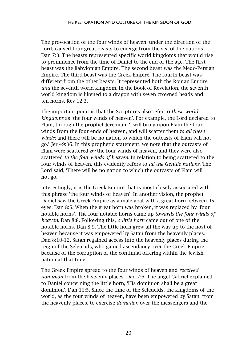The provocation of the four winds of heaven, under the direction of the Lord, caused four great beasts to emerge from the sea of the nations. Dan 7:3. The beasts represented specific world kingdoms that would rise to prominence from the time of Daniel to the end of the age. The first beast was the Babylonian Empire. The second beast was the Medo-Persian Empire. The third beast was the Greek Empire. The fourth beast was different from the other beasts. It represented both the Roman Empire *and* the seventh world kingdom. In the book of Revelation, the seventh world kingdom is likened to a dragon with seven crowned heads and ten horns. Rev 12:3.

The important point is that the Scriptures also refer to *these world kingdoms* as 'the four winds of heaven'. For example, the Lord declared to Elam, through the prophet Jeremiah, 'I will bring upon Elam the four winds from the four ends of heaven, and will scatter them *to all these winds*; and there will be no nation to which the outcasts of Elam will not go.' Jer 49:36. In this prophetic statement, we note that the outcasts of Elam were scattered *by* the four winds of heaven, and they were also scattered *to the four winds of heaven*. In relation to being scattered to the four winds of heaven, this evidently refers to *all the Gentile nations.* The Lord said, 'There will be no nation to which the outcasts of Elam will not go.'

Interestingly, it is the Greek Empire that is most closely associated with this phrase 'the four winds of heaven'. In another vision, the prophet Daniel saw the Greek Empire as a male goat with a great horn between its eyes. Dan 8:5. When the great horn was broken, it was replaced by 'four notable horns'. The four notable horns came up *towards the four winds of heaven*. Dan 8:8. Following this, *a little horn* came out of one of the notable horns. Dan 8:9. The little horn grew all the way up to the host of heaven because it was empowered by Satan from the heavenly places. Dan 8:10-12. Satan regained access into the heavenly places during the reign of the Seleucids, who gained ascendancy over the Greek Empire because of the corruption of the continual offering within the Jewish nation at that time.

The Greek Empire spread to the four winds of heaven and *received dominion* from the heavenly places. Dan 7:6. The angel Gabriel explained to Daniel concerning the little horn, 'His dominion shall be a great dominion'. Dan 11:5. Since the time of the Seleucids, the kingdoms of the world, as the four winds of heaven, have been empowered by Satan, from the heavenly places, to exercise *dominion* over the messengers and the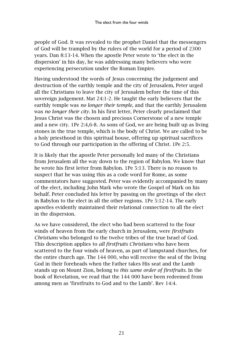people of God. It was revealed to the prophet Daniel that the messengers of God will be trampled by the rulers of the world for a period of 2300 years. Dan 8:13-14. When the apostle Peter wrote to 'the elect in the dispersion' in his day, he was addressing many believers who were experiencing persecution under the Roman Empire.

Having understood the words of Jesus concerning the judgement and destruction of the earthly temple and the city of Jerusalem, Peter urged all the Christians to leave the city of Jerusalem before the time of this sovereign judgement. Mat 24:1-2. He taught the early believers that the earthly temple was *no longer their temple,* and that the earthly Jerusalem was *no longer their city*. In his first letter, Peter clearly proclaimed that Jesus Christ was the chosen and precious Cornerstone of a new temple and a new city. 1Pe 2:4,6-8. As sons of God, we are being built up as living stones in the true temple, which is the body of Christ. We are called to be a holy priesthood in this spiritual house, offering up spiritual sacrifices to God through our participation in the offering of Christ. 1Pe 2:5.

It is likely that the apostle Peter personally led many of the Christians from Jerusalem all the way down to the region of Babylon. We know that he wrote his first letter from Babylon. 1Pe 5:13. There is no reason to suspect that he was using this as a code word for Rome, as some commentators have suggested. Peter was evidently accompanied by many of the elect, including John Mark who wrote the Gospel of Mark on his behalf. Peter concluded his letter by passing on the greetings of the elect in Babylon to the elect in all the other regions. 1Pe 5:12-14. The early apostles evidently maintained their relational connection to all the elect in the dispersion.

As we have considered, the elect who had been scattered to the four winds of heaven from the early church in Jerusalem, were *firstfruits Christians* who belonged to the twelve tribes of the true Israel of God. This description applies to *all firstfruits Christians* who have been scattered to the four winds of heaven, as part of lampstand churches, for the entire church age. The 144 000, who will receive the seal of the living God in their foreheads when the Father takes His seat and the Lamb stands up on Mount Zion, belong to *this same order of firstfruits*. In the book of Revelation, we read that the 144 000 have been redeemed from among men as 'firstfruits to God and to the Lamb'. Rev 14:4.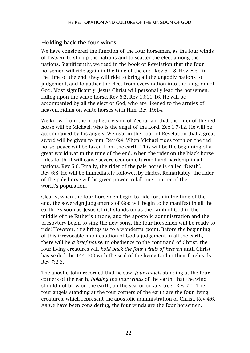#### <span id="page-23-0"></span>Holding back the four winds

We have considered the function of the four horsemen, as the four winds of heaven, to stir up the nations and to scatter the elect among the nations. Significantly, we read in the book of Revelation that the four horsemen will ride again in the time of the end. Rev 6:1-8. However, in the time of the end, they will ride to bring all the ungodly nations to judgement, and to gather the elect from every nation into the kingdom of God. Most significantly, Jesus Christ will personally lead the horsemen, riding upon the white horse. Rev 6:2. Rev 19:11-16. He will be accompanied by all the elect of God, who are likened to the armies of heaven, riding on white horses with Him. Rev 19:14.

We know, from the prophetic vision of Zechariah, that the rider of the red horse will be Michael, who is the angel of the Lord. Zec 1:7-12. He will be accompanied by his angels. We read in the book of Revelation that a great sword will be given to him. Rev 6:4. When Michael rides forth on the red horse, peace will be taken from the earth. This will be the beginning of a great world war in the time of the end. When the rider on the black horse rides forth, it will cause severe economic turmoil and hardship in all nations. Rev 6:6. Finally, the rider of the pale horse is called 'Death'. Rev 6:8. He will be immediately followed by Hades. Remarkably, the rider of the pale horse will be given power to kill one quarter of the world's population.

Clearly, when the four horsemen begin to ride forth in the time of the end, the sovereign judgements of God will begin to be manifest in all the earth. As soon as Jesus Christ stands up as the Lamb of God in the middle of the Father's throne, and the apostolic administration and the presbytery begin to sing the new song, the four horsemen will be ready to ride! However, this brings us to a wonderful point. Before the beginning of this irrevocable manifestation of God's judgement in all the earth, there will be *a brief pause*. In obedience to the command of Christ, the four living creatures will *hold back the four winds of heaven* until Christ has sealed the 144 000 with the seal of the living God in their foreheads. Rev 7:2-3.

The apostle John recorded that he saw '*four angels* standing at the four corners of the earth, *holding the four winds* of the earth, that the wind should not blow on the earth, on the sea, or on any tree'. Rev 7:1. The four angels standing at the four corners of the earth are the four living creatures, which represent the apostolic administration of Christ. Rev 4:6. As we have been considering, the four winds are the four horsemen.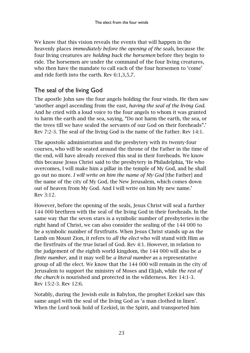We know that this vision reveals the events that will happen in the heavenly places *immediately before the opening of the seals,* because the four living creatures are *holding back the horsemen* before they begin to ride. The horsemen are under the command of the four living creatures, who then have the mandate to call each of the four horsemen to 'come' and ride forth into the earth. Rev 6:1,3,5,7.

#### <span id="page-24-0"></span>The seal of the living God

The apostle John saw the four angels holding the four winds. He then saw 'another angel ascending from the east, *having the seal of the living God*. And he cried with a loud voice to the four angels to whom it was granted to harm the earth and the sea, saying, "Do not harm the earth, the sea, or the trees till we have sealed the servants of our God on their foreheads".' Rev 7:2-3. The seal of the living God is the name of the Father. Rev 14:1.

The apostolic administration and the presbytery with its twenty-four courses, who will be seated around the throne of the Father in the time of the end, will have already received this seal in their foreheads. We know this because Jesus Christ said to the presbytery in Philadelphia, 'He who overcomes, I will make him a pillar in the temple of My God, and he shall go out no more. *I will write on him the name of My God* [the Father] and the name of the city of My God, the New Jerusalem, which comes down out of heaven from My God. And I will write on him My new name.' Rev 3:12.

However, before the opening of the seals, Jesus Christ will seal a further 144 000 brethren with the seal of the living God in their foreheads. In the same way that the seven stars is a symbolic number of presbyteries in the right hand of Christ, we can also consider the sealing of the 144 000 to be a symbolic number of firstfruits. When Jesus Christ stands up as the Lamb on Mount Zion, it refers to *all the elect* who will stand with Him as the firstfruits of the true Israel of God. Rev 4:1. However, in relation to the judgement of the eighth world kingdom, the 144 000 will also be *a finite number*, and it may well be *a literal number* as a representative group of all the elect. We know that the 144 000 will remain in the city of Jerusalem to support the ministry of Moses and Elijah, while *the rest of the church* is nourished and protected in the wilderness. Rev 14:1-3. Rev 15:2-3. Rev 12:6.

Notably, during the Jewish exile in Babylon, the prophet Ezekiel saw this same angel with the seal of the living God as 'a man clothed in linen'. When the Lord took hold of Ezekiel, in the Spirit, and transported him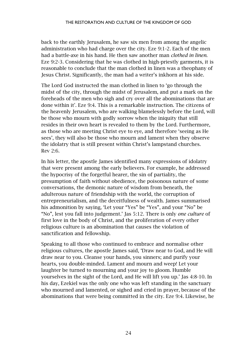back to the earthly Jerusalem, he saw six men from among the angelic administration who had charge over the city. Eze 9:1-2. Each of the men had a battle-axe in his hand. He then saw another man *clothed in linen*. Eze 9:2-3. Considering that he was clothed in high-priestly garments, it is reasonable to conclude that the man clothed in linen was a theophany of Jesus Christ. Significantly, the man had a writer's inkhorn at his side.

The Lord God instructed the man clothed in linen to 'go through the midst of the city, through the midst of Jerusalem, and put a mark on the foreheads of the men who sigh and cry over all the abominations that are done within it'. Eze 9:4. This is a remarkable instruction. The citizens of the heavenly Jerusalem, who are walking blamelessly before the Lord, will be those who mourn with godly sorrow when the iniquity that still resides in their own heart is revealed to them by the Lord. Furthermore, as those who are meeting Christ eye to eye, and therefore 'seeing as He sees', they will also be those who mourn and lament when they observe the idolatry that is still present within Christ's lampstand churches. Rev 2:6.

In his letter, the apostle James identified many expressions of idolatry that were present among the early believers. For example, he addressed the hypocrisy of the forgetful hearer, the sin of partiality, the presumption of faith without obedience, the poisonous nature of some conversations, the demonic nature of wisdom from beneath, the adulterous nature of friendship with the world, the corruption of entrepreneurialism, and the deceitfulness of wealth. James summarised his admonition by saying, 'Let your "Yes" be "Yes", and your "No" be "No", lest you fall into judgement.' Jas 5:12. There is only *one culture* of first love in the body of Christ, and the proliferation of every other religious culture is an abomination that causes the violation of sanctification and fellowship.

Speaking to all those who continued to embrace and normalise other religious cultures, the apostle James said, 'Draw near to God, and He will draw near to you. Cleanse your hands, you sinners; and purify your hearts, you double-minded. Lament and mourn and weep! Let your laughter be turned to mourning and your joy to gloom. Humble yourselves in the sight of the Lord, and He will lift you up.' Jas 4:8-10. In his day, Ezekiel was the only one who was left standing in the sanctuary who mourned and lamented, or sighed and cried in prayer, because of the abominations that were being committed in the city. Eze 9:4. Likewise, he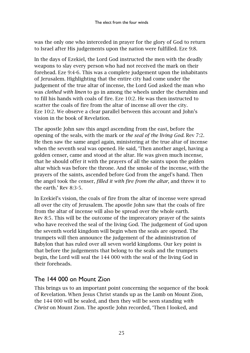was the only one who interceded in prayer for the glory of God to return to Israel after His judgements upon the nation were fulfilled. Eze 9:8.

In the days of Ezekiel, the Lord God instructed the men with the deadly weapons to slay every person who had not received the mark on their forehead. Eze 9:4-6. This was a complete judgement upon the inhabitants of Jerusalem. Highlighting that the entire city had come under the judgement of the true altar of incense, the Lord God asked the man who was *clothed with linen* to go in among the wheels under the cherubim and to fill his hands with coals of fire. Eze 10:2. He was then instructed to scatter the coals of fire from the altar of incense all over the city. Eze 10:2. We observe a clear parallel between this account and John's vision in the book of Revelation.

The apostle John saw this angel ascending from the east, before the opening of the seals, with the mark or *the seal of the living God.* Rev 7:2. He then saw the same angel again, ministering at the true altar of incense when the seventh seal was opened. He said, 'Then another angel, having a golden censer, came and stood at the altar. He was given much incense, that he should offer it with the prayers of all the saints upon the golden altar which was before the throne. And the smoke of the incense, with the prayers of the saints, ascended before God from the angel's hand. Then the angel took the censer, *filled it with fire from the altar*, and threw it to the earth.' Rev 8:3-5.

In Ezekiel's vision, the coals of fire from the altar of incense were spread all over the city of Jerusalem. The apostle John saw that the coals of fire from the altar of incense will also be spread over the whole earth. Rev 8:5. This will be the outcome of the imprecatory prayer of the saints who have received the seal of the living God. The judgement of God upon the seventh world kingdom will begin when the seals are opened. The trumpets will then announce the judgement of the administration of Babylon that has ruled over all seven world kingdoms. Our key point is that before the judgements that belong to the seals and the trumpets begin, the Lord will seal the 144 000 with the seal of the living God in their foreheads.

#### <span id="page-26-0"></span>The 144 000 on Mount Zion

This brings us to an important point concerning the sequence of the book of Revelation. When Jesus Christ stands up as the Lamb on Mount Zion, the 144 000 will be sealed, and then they will be seen standing *with Christ* on Mount Zion. The apostle John recorded, 'Then I looked, and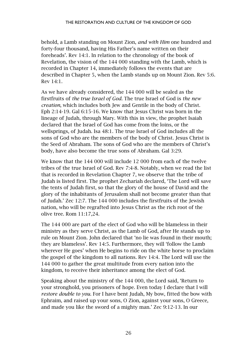behold, a Lamb standing on Mount Zion, *and with Him* one hundred and forty-four thousand, having His Father's name written on their foreheads'. Rev 14:1. In relation to the chronology of the book of Revelation, the vision of the 144 000 standing with the Lamb, which is recorded in Chapter 14, immediately follows the events that are described in Chapter 5, when the Lamb stands up on Mount Zion. Rev 5:6. Rev 14:1.

As we have already considered, the 144 000 will be sealed as the firstfruits of *the true Israel of God.* The true Israel of God is *the new creation*, which includes both Jew and Gentile in the body of Christ. Eph 2:14-19. Gal 6:15-16. We know that Jesus Christ was born in the lineage of Judah, through Mary. With this in view, the prophet Isaiah declared that the Israel of God has come from the loins, or the wellsprings, of Judah. Isa 48:1. The true Israel of God includes all the sons of God who are the members of the body of Christ. Jesus Christ is the Seed of Abraham. The sons of God who are the members of Christ's body, have also become the true sons of Abraham. Gal 3:29.

We know that the 144 000 will include 12 000 from each of the twelve tribes of the true Israel of God. Rev 7:4-8. Notably, when we read the list that is recorded in Revelation Chapter 7, we observe that the tribe of Judah is listed first. The prophet Zechariah declared, 'The Lord will save the tents of Judah first, so that the glory of the house of David and the glory of the inhabitants of Jerusalem shall not become greater than that of Judah.' Zec 12:7. The 144 000 includes the firstfruits of the Jewish nation, who will be regrafted into Jesus Christ as the rich root of the olive tree. Rom 11:17,24.

The 144 000 are part of the elect of God who will be blameless in their ministry as they serve Christ, as the Lamb of God, after He stands up to rule on Mount Zion. John declared that 'no lie was found in their mouth; they are blameless'. Rev 14:5. Furthermore, they will 'follow the Lamb wherever He goes' when He begins to ride on the white horse to proclaim the gospel of the kingdom to all nations. Rev 14:4. The Lord will use the 144 000 to gather the great multitude from every nation into the kingdom, to receive their inheritance among the elect of God.

Speaking about the ministry of the 144 000, the Lord said, 'Return to your stronghold, you prisoners of hope. Even today I declare that I will *restore double to you.* For I have bent Judah, My bow, fitted the bow with Ephraim, and raised up your sons, O Zion, against your sons, O Greece, and made you like the sword of a mighty man.' Zec 9:12-13. In our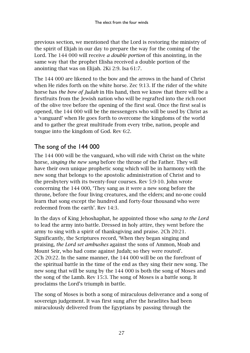previous section, we mentioned that the Lord is restoring the ministry of the spirit of Elijah in our day to prepare the way for the coming of the Lord. The 144 000 will receive *a double portion* of this anointing, in the same way that the prophet Elisha received a double portion of the anointing that was on Elijah. 2Ki 2:9. Isa 61:7.

The 144 000 are likened to the bow and the arrows in the hand of Christ when He rides forth on the white horse. Zec 9:13. If the rider of the white horse has *the bow of Judah* in His hand, then we know that there will be a firstfruits from the Jewish nation who will be regrafted into the rich root of the olive tree before the opening of the first seal. Once the first seal is opened, the 144 000 will be the messengers who will be used by Christ as a 'vanguard' when He goes forth to overcome the kingdoms of the world and to gather the great multitude from every tribe, nation, people and tongue into the kingdom of God. Rev 6:2.

#### <span id="page-28-0"></span>The song of the 144 000

The 144 000 will be the vanguard, who will ride with Christ on the white horse, *singing the new song* before the throne of the Father. They will have their own unique prophetic song which will be in harmony with the new song that belongs to the apostolic administration of Christ and to the presbytery with its twenty-four courses. Rev 5:9-10. John wrote concerning the 144 000, 'They sang as it were a new song before the throne, before the four living creatures, and the elders; and no-one could learn that song except the hundred and forty-four thousand who were redeemed from the earth'. Rev 14:3.

In the days of King Jehoshaphat, he appointed those who *sang to the Lord* to lead the army into battle. Dressed in holy attire, they went before the army to sing with a spirit of thanksgiving and praise. 2Ch 20:21. Significantly, the Scriptures record, 'When they began singing and praising, *the Lord set ambushes* against the sons of Ammon, Moab and Mount Seir, who had come against Judah; so they were routed'. 2Ch 20:22. In the same manner, the 144 000 will be on the forefront of the spiritual battle in the time of the end as they sing their new song. The new song that will be sung by the 144 000 is both the song of Moses and the song of the Lamb. Rev 15:3. The song of Moses is a battle song. It proclaims the Lord's triumph in battle.

The song of Moses is both a song of miraculous deliverance and a song of sovereign judgement. It was first sung after the Israelites had been miraculously delivered from the Egyptians by passing through the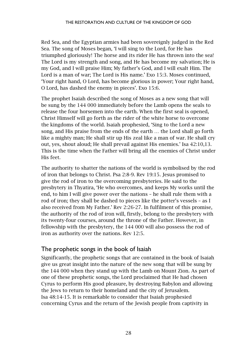Red Sea, and the Egyptian armies had been sovereignly judged in the Red Sea. The song of Moses began, 'I will sing to the Lord, for He has triumphed gloriously! The horse and its rider He has thrown into the sea! The Lord is my strength and song, and He has become my salvation; He is my God, and I will praise Him; My father's God, and I will exalt Him. The Lord is a man of war; The Lord is His name.' Exo 15:3. Moses continued, 'Your right hand, O Lord, has become glorious in power; Your right hand, O Lord, has dashed the enemy in pieces'. Exo 15:6.

The prophet Isaiah described the song of Moses as a new song that will be sung by the 144 000 immediately before the Lamb opens the seals to release the four horsemen into the earth. When the first seal is opened, Christ Himself will go forth as the rider of the white horse to overcome the kingdoms of the world. Isaiah prophesied, 'Sing to the Lord a new song, and His praise from the ends of the earth … the Lord shall go forth like a mighty man; He shall stir up His zeal like a man of war. He shall cry out, yes, shout aloud; He shall prevail against His enemies.' Isa 42:10,13. This is the time when the Father will bring all the enemies of Christ under His feet.

The authority to shatter the nations of the world is symbolised by the rod of iron that belongs to Christ. Psa 2:8-9. Rev 19:15. Jesus promised to give the rod of iron to the overcoming presbyteries. He said to the presbytery in Thyatira, 'He who overcomes, and keeps My works until the end, to him I will give power over the nations – he shall rule them with a rod of iron; they shall be dashed to pieces like the potter's vessels – as I also received from My Father.' Rev 2:26-27. In fulfilment of this promise, the authority of the rod of iron will, firstly, belong to the presbytery with its twenty-four courses, around the throne of the Father. However, in fellowship with the presbytery, the 144 000 will also possess the rod of iron as authority over the nations. Rev 12:5.

#### <span id="page-29-0"></span>The prophetic songs in the book of Isaiah

Significantly, the prophetic songs that are contained in the book of Isaiah give us great insight into the nature of the new song that will be sung by the 144 000 when they stand up with the Lamb on Mount Zion. As part of one of these prophetic songs, the Lord proclaimed that He had chosen Cyrus to perform His good pleasure, by destroying Babylon and allowing the Jews to return to their homeland and the city of Jerusalem. Isa 48:14-15. It is remarkable to consider that Isaiah prophesied concerning Cyrus and the return of the Jewish people from captivity in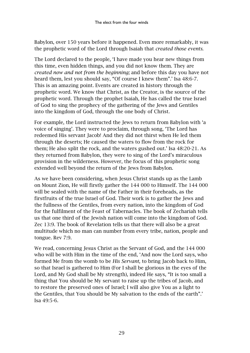Babylon, over 150 years before it happened. Even more remarkably, it was the prophetic word of the Lord through Isaiah that *created those events*.

The Lord declared to the people, 'I have made you hear new things from this time, even hidden things, and you did not know them. They are *created now and not from the beginning;* and before this day you have not heard them, lest you should say, "Of course I knew them".' Isa 48:6-7. This is an amazing point. Events are created in history through the prophetic word. We know that Christ, as the Creator, is the source of the prophetic word. Through the prophet Isaiah, He has called the true Israel of God to sing the prophecy of the gathering of the Jews and Gentiles into the kingdom of God, through the one body of Christ.

For example, the Lord instructed the Jews to return from Babylon with 'a voice of singing'. They were to proclaim, through song, 'The Lord has redeemed His servant Jacob! And they did not thirst when He led them through the deserts; He caused the waters to flow from the rock for them; He also split the rock, and the waters gushed out.' Isa 48:20-21. As they returned from Babylon, they were to sing of the Lord's miraculous provision in the wilderness. However, the focus of this prophetic song extended well beyond the return of the Jews from Babylon.

As we have been considering, when Jesus Christ stands up as the Lamb on Mount Zion, He will firstly gather the 144 000 to Himself. The 144 000 will be sealed with the name of the Father in their foreheads, as the firstfruits of the true Israel of God. Their work is to gather the Jews and the fullness of the Gentiles, from every nation, into the kingdom of God for the fulfilment of the Feast of Tabernacles. The book of Zechariah tells us that one third of the Jewish nation will come into the kingdom of God. Zec 13:9. The book of Revelation tells us that there will also be a great multitude which no man can number from every tribe, nation, people and tongue. Rev 7:9.

We read, concerning Jesus Christ as the Servant of God, and the 144 000 who will be with Him in the time of the end, 'And now the Lord says, who formed Me from the womb to be *His Servant,* to bring Jacob back to Him, so that Israel is gathered to Him (For I shall be glorious in the eyes of the Lord, and My God shall be My strength), indeed He says, "It is too small a thing that You should be My servant to raise up the tribes of Jacob, and to restore the preserved ones of Israel; I will also give You as a light to the Gentiles, that You should be My salvation to the ends of the earth".' Isa 49:5-6.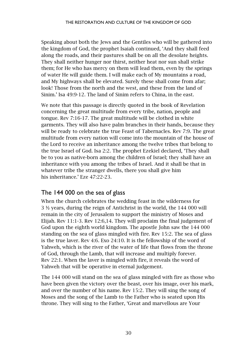Speaking about both the Jews and the Gentiles who will be gathered into the kingdom of God, the prophet Isaiah continued, 'And they shall feed along the roads, and their pastures shall be on all the desolate heights. They shall neither hunger nor thirst, neither heat nor sun shall strike them; for He who has mercy on them will lead them, even by the springs of water He will guide them. I will make each of My mountains a road, and My highways shall be elevated. Surely these shall come from afar; look! Those from the north and the west, and these from the land of Sinim.' Isa 49:9-12. The land of Sinim refers to China, in the east.

We note that this passage is directly quoted in the book of Revelation concerning the great multitude from every tribe, nation, people and tongue. Rev 7:16-17. The great multitude will be clothed in white garments. They will also have palm branches in their hands, because they will be ready to celebrate the true Feast of Tabernacles. Rev 7:9. The great multitude from every nation will come into the mountain of the house of the Lord to receive an inheritance among the twelve tribes that belong to the true Israel of God. Isa 2:2. The prophet Ezekiel declared, 'They shall be to you as native-born among the children of Israel; they shall have an inheritance with you among the tribes of Israel. And it shall be that in whatever tribe the stranger dwells, there you shall give him his inheritance.' Eze 47:22-23.

#### <span id="page-31-0"></span>The 144 000 on the sea of glass

When the church celebrates the wedding feast in the wilderness for 3 ½ years, during the reign of Antichrist in the world, the 144 000 will remain in the city of Jerusalem to support the ministry of Moses and Elijah. Rev 11:1-3. Rev 12:6,14. They will proclaim the final judgement of God upon the eighth world kingdom. The apostle John saw the 144 000 standing on the sea of glass mingled with fire. Rev 15:2. The sea of glass is the true laver. Rev 4:6. Exo 24:10. It is the fellowship of the word of Yahweh, which is the river of the water of life that flows from the throne of God, through the Lamb, that will increase and multiply forever. Rev 22:1. When the laver is mingled with fire, it reveals the word of Yahweh that will be operative in eternal judgement.

The 144 000 will stand on the sea of glass mingled with fire as those who have been given the victory over the beast, over his image, over his mark, and over the number of his name. Rev 15:2. They will sing the song of Moses and the song of the Lamb to the Father who is seated upon His throne. They will sing to the Father, 'Great and marvellous are Your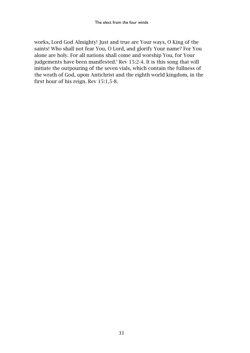works, Lord God Almighty! Just and true are Your ways, O King of the saints! Who shall not fear You, O Lord, and glorify Your name? For You alone are holy. For all nations shall come and worship You, for Your judgements have been manifested.' Rev 15:2-4. It is this song that will initiate the outpouring of the seven vials, which contain the fullness of the wrath of God, upon Antichrist and the eighth world kingdom, in the first hour of his reign. Rev 15:1,5-8.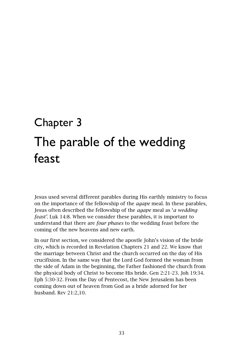### <span id="page-34-1"></span><span id="page-34-0"></span>Chapter 3 The parable of the wedding feast

Jesus used several different parables during His earthly ministry to focus on the importance of the fellowship of the *agape* meal. In these parables, Jesus often described the fellowship of the *agape* meal as '*a wedding feast'*. Luk 14:8. When we consider these parables, it is important to understand that there are *four phases* to the wedding feast before the coming of the new heavens and new earth.

In our first section, we considered the apostle John's vision of the bride city, which is recorded in Revelation Chapters 21 and 22. We know that the marriage between Christ and the church occurred on the day of His crucifixion. In the same way that the Lord God formed the woman from the side of Adam in the beginning, the Father fashioned the church from the physical body of Christ to become His bride. Gen 2:21-23. Joh 19:34. Eph 5:30-32. From the Day of Pentecost, the New Jerusalem has been coming down out of heaven from God as a bride adorned for her husband. Rev 21:2,10.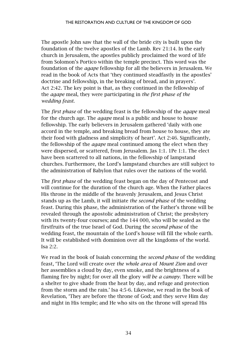The apostle John saw that the wall of the bride city is built upon the foundation of the twelve apostles of the Lamb. Rev 21:14. In the early church in Jerusalem, the apostles publicly proclaimed the word of life from Solomon's Portico within the temple precinct. This word was the foundation of the *agape* fellowship for all the believers in Jerusalem. We read in the book of Acts that 'they continued steadfastly in the apostles' doctrine and fellowship, in the breaking of bread, and in prayers'. Act 2:42. The key point is that, as they continued in the fellowship of the *agape* meal, they were participating in *the first phase of the wedding feast*.

The *first phase* of the wedding feast is the fellowship of the *agape* meal for the church age. The *agape* meal is a public and house to house fellowship. The early believers in Jerusalem gathered 'daily with one accord in the temple, and breaking bread from house to house, they ate their food with gladness and simplicity of heart'. Act 2:46. Significantly, the fellowship of the *agape* meal continued among the elect when they were dispersed, or scattered, from Jerusalem. Jas 1:1. 1Pe 1:1. The elect have been scattered to all nations, in the fellowship of lampstand churches. Furthermore, the Lord's lampstand churches are still subject to the administration of Babylon that rules over the nations of the world.

The *first phase* of the wedding feast began on the day of Pentecost and will continue for the duration of the church age. When the Father places His throne in the middle of the heavenly Jerusalem, and Jesus Christ stands up as the Lamb, it will initiate *the second phase* of the wedding feast. During this phase, the administration of the Father's throne will be revealed through the apostolic administration of Christ; the presbytery with its twenty-four courses; and the 144 000, who will be sealed as the firstfruits of the true Israel of God. During the *second phase* of the wedding feast, the mountain of the Lord's house will fill the whole earth. It will be established with dominion over all the kingdoms of the world. Isa 2:2.

We read in the book of Isaiah concerning the *second phase* of the wedding feast, 'The Lord will create over *the whole area* of *Mount Zion* and over her assemblies a cloud by day, even smoke, and the brightness of a flaming fire by night; for over all the glory *will be a canopy*. There will be a shelter to give shade from the heat by day, and refuge and protection from the storm and the rain.' Isa 4:5-6. Likewise, we read in the book of Revelation, 'They are before the throne of God; and they serve Him day and night in His temple; and He who sits on the throne will spread His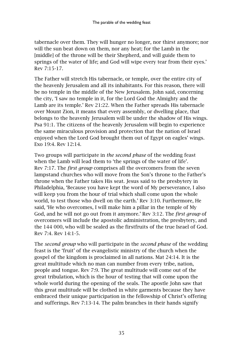tabernacle over them. They will hunger no longer, nor thirst anymore; nor will the sun beat down on them, nor any heat; for the Lamb in the [middle] of the throne will be their Shepherd, and will guide them to springs of the water of life; and God will wipe every tear from their eyes.' Rev 7:15-17.

The Father will stretch His tabernacle, or temple, over the entire city of the heavenly Jerusalem and all its inhabitants. For this reason, there will be no temple in the middle of the New Jerusalem. John said, concerning the city, 'I saw no temple in it, for the Lord God the Almighty and the Lamb are its temple.' Rev 21:22. When the Father spreads His tabernacle over Mount Zion, it means that every assembly, or dwelling place, that belongs to the heavenly Jerusalem will be under the shadow of His wings. Psa 91:1. The citizens of the heavenly Jerusalem will begin to experience the same miraculous provision and protection that the nation of Israel enjoyed when the Lord God brought them out of Egypt on eagles' wings. Exo 19:4. Rev 12:14.

Two groups will participate in *the second phase* of the wedding feast when the Lamb will lead them to 'the springs of the water of life'. Rev 7:17. The *first group* comprises all the overcomers from the seven lampstand churches who will move from the Son's throne to the Father's throne when the Father takes His seat. Jesus said to the presbytery in Philadelphia, 'Because you have kept the word of My perseverance, I also will keep you from the hour of trial which shall come upon the whole world, to test those who dwell on the earth.' Rev 3:10. Furthermore, He said, 'He who overcomes, I will make him a pillar in the temple of My God, and he will not go out from it anymore.' Rev 3:12. The *first group* of overcomers will include the apostolic administration, the presbytery, and the 144 000, who will be sealed as the firstfruits of the true Israel of God. Rev 7:4. Rev 14:1-5.

The *second group* who will participate in the *second phase* of the wedding feast is the 'fruit' of the evangelistic ministry of the church when the gospel of the kingdom is proclaimed in all nations. Mat 24:14. It is the great multitude which no man can number from every tribe, nation, people and tongue. Rev 7:9. The great multitude will come out of the great tribulation, which is the hour of testing that will come upon the whole world during the opening of the seals. The apostle John saw that this great multitude will be clothed in white garments because they have embraced their unique participation in the fellowship of Christ's offering and sufferings. Rev 7:13-14. The palm branches in their hands signify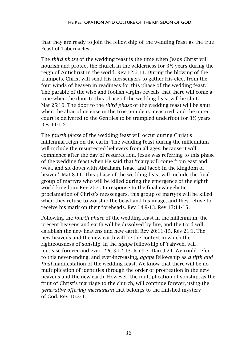that they are ready to join the fellowship of the wedding feast as the true Feast of Tabernacles.

The *third phase* of the wedding feast is the time when Jesus Christ will nourish and protect the church in the wilderness for  $3\frac{1}{2}$  years during the reign of Antichrist in the world. Rev 12:6,14. During the blowing of the trumpets, Christ will send His messengers to gather His elect from the four winds of heaven in readiness for this phase of the wedding feast. The parable of the wise and foolish virgins reveals that there will come a time when the door to this phase of the wedding feast will be shut. Mat 25:10. The door to the *third phase* of the wedding feast will be shut when the altar of incense in the true temple is measured, and the outer court is delivered to the Gentiles to be trampled underfoot for 3½ years. Rev 11:1-2.

The *fourth phase* of the wedding feast will occur during Christ's millennial reign on the earth. The wedding feast during the millennium will include the resurrected believers from all ages, because it will commence after the day of resurrection. Jesus was referring to this phase of the wedding feast when He said that 'many will come from east and west, and sit down with Abraham, Isaac, and Jacob in the kingdom of heaven'. Mat 8:11. This phase of the wedding feast will include the final group of martyrs who will be killed during the emergence of the eighth world kingdom. Rev 20:4. In response to the final evangelistic proclamation of Christ's messengers, this group of martyrs will be killed when they refuse to worship the beast and his image, and they refuse to receive his mark on their foreheads. Rev 14:9-13. Rev 13:11-15.

Following the *fourth phase* of the wedding feast in the millennium, the present heavens and earth will be dissolved by fire, and the Lord will establish the new heavens and new earth. Rev 20:11-15. Rev 21:1. The new heavens and the new earth will be the context in which the righteousness of sonship, in the *agape* fellowship of Yahweh, will increase forever and ever. 2Pe 3:12-13. Isa 9:7. Dan 9:24. We could refer to this never-ending, and ever-increasing, *agape* fellowship as *a fifth and final* manifestation of the wedding feast. We know that there will be no multiplication of identities through the order of procreation in the new heavens and the new earth. However, the multiplication of sonship, as the fruit of Christ's marriage to the church, will continue forever, using the *generative offering mechanism* that belongs to the finished mystery of God. Rev 10:3-4.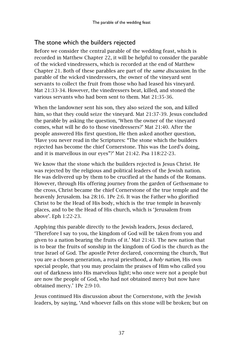# The stone which the builders rejected

Before we consider the central parable of the wedding feast, which is recorded in Matthew Chapter 22, it will be helpful to consider the parable of the wicked vinedressers, which is recorded at the end of Matthew Chapter 21. Both of these parables are part of *the same discussion*. In the parable of the wicked vinedressers, the owner of the vineyard sent servants to collect the fruit from those who had leased his vineyard. Mat 21:33-34. However, the vinedressers beat, killed, and stoned the various servants who had been sent to them. Mat 21:35-36.

When the landowner sent his son, they also seized the son, and killed him, so that they could seize the vineyard. Mat 21:37-39. Jesus concluded the parable by asking the question, 'When the owner of the vineyard comes, what will he do to those vinedressers?' Mat 21:40. After the people answered His first question, He then asked another question, 'Have you never read in the Scriptures: "The stone which the builders rejected has become the chief Cornerstone. This was the Lord's doing, and it is marvellous in our eyes"?' Mat 21:42. Psa 118:22-23.

We know that the stone which the builders rejected is Jesus Christ. He was rejected by the religious and political leaders of the Jewish nation. He was delivered up by them to be crucified at the hands of the Romans. However, through His offering journey from the garden of Gethsemane to the cross, Christ became the chief Cornerstone of the true temple and the heavenly Jerusalem. Isa 28:16. 1Pe 2:6. It was the Father who glorified Christ to be the Head of His body, which is the true temple in heavenly places, and to be the Head of His church, which is 'Jerusalem from above'. Eph 1:22-23.

Applying this parable directly to the Jewish leaders, Jesus declared, 'Therefore I say to you, the kingdom of God will be taken from you and given to a nation bearing the fruits of it.' Mat 21:43. The new nation that is to bear the fruits of sonship in the kingdom of God is the church as the true Israel of God. The apostle Peter declared, concerning the church, 'But you are a chosen generation, a royal priesthood, *a holy nation,* His own special people, that you may proclaim the praises of Him who called you out of darkness into His marvelous light; who once were not a people but are now the people of God, who had not obtained mercy but now have obtained mercy.' 1Pe 2:9-10.

Jesus continued His discussion about the Cornerstone, with the Jewish leaders, by saying, 'And whoever falls on this stone will be broken; but on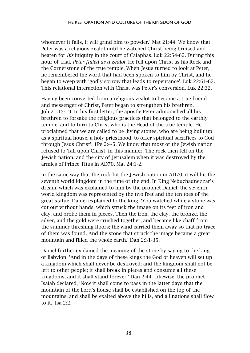whomever it falls, it will grind him to powder.' Mat 21:44. We know that Peter was a religious zealot until he watched Christ being bruised and beaten for *his* iniquity in the court of Caiaphas. Luk 22:54-62. During this hour of trial, *Peter failed as a zealot.* He fell upon Christ as his Rock and the Cornerstone of the true temple. When Jesus turned to look at Peter, he remembered the word that had been spoken to him by Christ, and he began to weep with 'godly sorrow that leads to repentance'. Luk 22:61-62. This relational interaction with Christ was Peter's conversion. Luk 22:32.

Having been converted from a religious zealot to become a true friend and messenger of Christ, Peter began to strengthen his brethren. Joh 21:15-19. In his first letter, the apostle Peter admonished all his brethren to forsake the religious practices that belonged to the earthly temple, and to turn to Christ who is the Head of the true temple. He proclaimed that we are called to be 'living stones, who are being built up as a spiritual house, a holy priesthood, to offer spiritual sacrifices to God through Jesus Christ'. 1Pe 2:4-5. We know that most of the Jewish nation refused to 'fall upon Christ' in this manner. The rock then fell on the Jewish nation, and the city of Jerusalem when it was destroyed by the armies of Prince Titus in AD70. Mat 24:1-2.

In the same way that the rock hit the Jewish nation in AD70, it will hit the seventh world kingdom in the time of the end. In King Nebuchadnezzar's dream, which was explained to him by the prophet Daniel, the seventh world kingdom was represented by the two feet and the ten toes of the great statue. Daniel explained to the king, 'You watched while a stone was cut out without hands, which struck the image on its feet of iron and clay, and broke them in pieces. Then the iron, the clay, the bronze, the silver, and the gold were crushed together, and became like chaff from the summer threshing floors; the wind carried them away so that no trace of them was found. And the stone that struck the image became a great mountain and filled the whole earth.' Dan 2:31-35.

Daniel further explained the meaning of the stone by saying to the king of Babylon, 'And in the days of these kings the God of heaven will set up a kingdom which shall never be destroyed; and the kingdom shall not be left to other people; it shall break in pieces and consume all these kingdoms, and it shall stand forever.' Dan 2:44. Likewise, the prophet Isaiah declared, 'Now it shall come to pass in the latter days that the mountain of the Lord's house shall be established on the top of the mountains, and shall be exalted above the hills, and all nations shall flow to it.' Isa 2:2.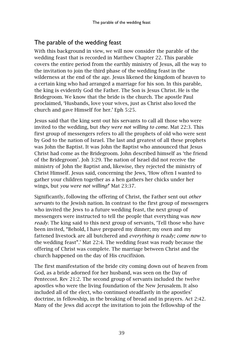# The parable of the wedding feast

With this background in view, we will now consider the parable of the wedding feast that is recorded in Matthew Chapter 22. This parable covers the entire period from the earthly ministry of Jesus, all the way to the invitation to join the third phase of the wedding feast in the wilderness at the end of the age. Jesus likened the kingdom of heaven to a certain king who had arranged a marriage for his son. In this parable, the king is evidently God the Father. The Son is Jesus Christ. He is the Bridegroom. We know that the bride is the church. The apostle Paul proclaimed, 'Husbands, love your wives, just as Christ also loved the church and gave Himself for her.' Eph 5:25.

Jesus said that the king sent out his servants to call all those who were invited to the wedding, but *they were not willing to come*. Mat 22:3. This first group of messengers refers to all the prophets of old who were sent by God to the nation of Israel. The last and greatest of all these prophets was John the Baptist. It was John the Baptist who announced that Jesus Christ had come as the Bridegroom. John described himself as 'the friend of the Bridegroom'. Joh 3:29. The nation of Israel did not receive the ministry of John the Baptist and, likewise, they rejected the ministry of Christ Himself. Jesus said, concerning the Jews, 'How often I wanted to gather your children together as a hen gathers her chicks under her wings, but *you were not willing!*' Mat 23:37.

Significantly, following the offering of Christ, the Father sent out *other servants* to the Jewish nation. In contrast to the first group of messengers who invited the Jews to a future wedding feast, the next group of messengers were instructed to tell the people that everything was *now ready*. The king said to this next group of servants, 'Tell those who have been invited, "Behold, I have prepared my dinner; my oxen and my fattened livestock are all butchered and *everything is ready; come now* to the wedding feast".' Mat 22:4. The wedding feast was ready because the offering of Christ was complete. The marriage between Christ and the church happened on the day of His crucifixion.

The first manifestation of the bride city coming down out of heaven from God, as a bride adorned for her husband, was seen on the Day of Pentecost. Rev 21:2. The second group of servants included the twelve apostles who were the living foundation of the New Jerusalem. It also included all of the elect, who continued steadfastly in the apostles' doctrine, in fellowship, in the breaking of bread and in prayers. Act 2:42. Many of the Jews did accept the invitation to join the fellowship of the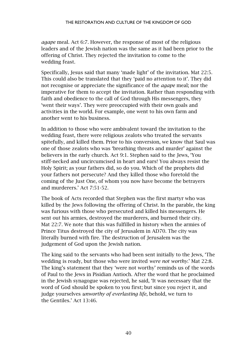*agape* meal. Act 6:7. However, the response of most of the religious leaders and of the Jewish nation was the same as it had been prior to the offering of Christ. They rejected the invitation to come to the wedding feast.

Specifically, Jesus said that many 'made light' of the invitation. Mat 22:5. This could also be translated that they 'paid no attention to it'. They did not recognise or appreciate the significance of the *agape* meal; nor the imperative for them to accept the invitation. Rather than responding with faith and obedience to the call of God through His messengers, they 'went their ways'. They were preoccupied with their own goals and activities in the world. For example, one went to his own farm and another went to his business.

In addition to those who were ambivalent toward the invitation to the wedding feast, there were religious zealots who treated the servants spitefully, and killed them. Prior to his conversion, we know that Saul was one of those zealots who was 'breathing threats and murder' against the believers in the early church. Act 9:1. Stephen said to the Jews, 'You stiff-necked and uncircumcised in heart and ears! You always resist the Holy Spirit; as your fathers did, so do you. Which of the prophets did your fathers not persecute? And they killed those who foretold the coming of the Just One, of whom you now have become the betrayers and murderers.' Act 7:51-52.

The book of Acts recorded that Stephen was the first martyr who was killed by the Jews following the offering of Christ. In the parable, the king was furious with those who persecuted and killed his messengers. He sent out his armies, destroyed the murderers, and burned their city. Mat 22:7. We note that this was fulfilled in history when the armies of Prince Titus destroyed the city of Jerusalem in AD70. The city was literally burned with fire. The destruction of Jerusalem was the judgement of God upon the Jewish nation.

The king said to the servants who had been sent initially to the Jews, 'The wedding is ready, but those who were invited *were not worthy.*' Mat 22:8. The king's statement that they 'were not worthy' reminds us of the words of Paul to the Jews in Pisidian Antioch. After the word that he proclaimed in the Jewish synagogue was rejected, he said, 'It was necessary that the word of God should be spoken to you first; but since you reject it, and judge yourselves *unworthy of everlasting life,* behold, we turn to the Gentiles.' Act 13:46.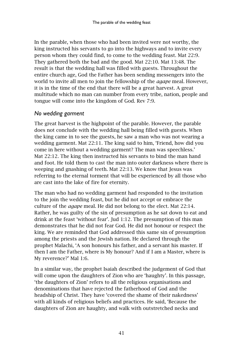In the parable, when those who had been invited were not worthy, the king instructed his servants to go into the highways and to invite every person whom they could find, to come to the wedding feast. Mat 22:9. They gathered both the bad and the good. Mat 22:10. Mat 13:48. The result is that the wedding hall was filled with guests. Throughout the entire church age, God the Father has been sending messengers into the world to invite all men to join the fellowship of the *agape* meal. However, it is in the time of the end that there will be a great harvest. A great multitude which no man can number from every tribe, nation, people and tongue will come into the kingdom of God. Rev 7:9.

#### *No wedding garment*

The great harvest is the highpoint of the parable. However, the parable does not conclude with the wedding hall being filled with guests. When the king came in to see the guests, he saw a man who was not wearing a wedding garment. Mat 22:11. The king said to him, 'Friend, how did you come in here without a wedding garment? The man was speechless.' Mat 22:12. The king then instructed his servants to bind the man hand and foot. He told them to cast the man into outer darkness where there is weeping and gnashing of teeth. Mat 22:13. We know that Jesus was referring to the eternal torment that will be experienced by all those who are cast into the lake of fire for eternity.

The man who had no wedding garment had responded to the invitation to the join the wedding feast, but he did not accept or embrace the culture of the *agape* meal. He did not belong to the elect. Mat 22:14. Rather, he was guilty of the sin of presumption as he sat down to eat and drink at the feast 'without fear'. Jud 1:12. The presumption of this man demonstrates that he did not fear God. He did not honour or respect the king. We are reminded that God addressed this same sin of presumption among the priests and the Jewish nation. He declared through the prophet Malachi, 'A son honours his father, and a servant his master. If then I am the Father, where is My honour? And if I am a Master, where is My reverence?' Mal 1:6.

In a similar way, the prophet Isaiah described the judgement of God that will come upon the daughters of Zion who are 'haughty'. In this passage, 'the daughters of Zion' refers to all the religious organisations and denominations that have rejected the fatherhood of God and the headship of Christ. They have 'covered the shame of their nakedness' with all kinds of religious beliefs and practices. He said, 'Because the daughters of Zion are haughty, and walk with outstretched necks and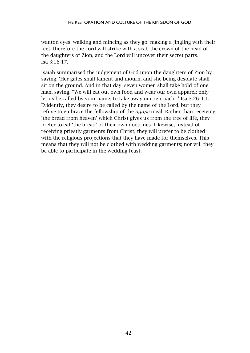wanton eyes, walking and mincing as they go, making a jingling with their feet, therefore the Lord will strike with a scab the crown of the head of the daughters of Zion, and the Lord will uncover their secret parts.' Isa 3:16-17.

Isaiah summarised the judgement of God upon the daughters of Zion by saying, 'Her gates shall lament and mourn, and she being desolate shall sit on the ground. And in that day, seven women shall take hold of one man, saying, "We will eat out own food and wear our own apparel; only let us be called by your name, to take away our reproach".' Isa 3:26-4:1. Evidently, they desire to be called by the name of the Lord, but they refuse to embrace the fellowship of the *agape* meal. Rather than receiving 'the bread from heaven' which Christ gives us from the tree of life, they prefer to eat 'the bread' of their own doctrines. Likewise, instead of receiving priestly garments from Christ, they will prefer to be clothed with the religious projections that they have made for themselves. This means that they will not be clothed with wedding garments; nor will they be able to participate in the wedding feast.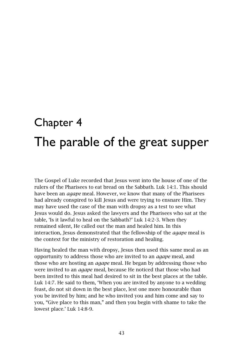# Chapter 4 The parable of the great supper

The Gospel of Luke recorded that Jesus went into the house of one of the rulers of the Pharisees to eat bread on the Sabbath. Luk 14:1. This should have been an *agape* meal. However, we know that many of the Pharisees had already conspired to kill Jesus and were trying to ensnare Him. They may have used the case of the man with dropsy as a test to see what Jesus would do. Jesus asked the lawyers and the Pharisees who sat at the table, 'Is it lawful to heal on the Sabbath?' Luk 14:2-3. When they remained silent, He called out the man and healed him. In this interaction, Jesus demonstrated that the fellowship of the *agape* meal is the context for the ministry of restoration and healing.

Having healed the man with dropsy, Jesus then used this same meal as an opportunity to address those who are invited to an *agape* meal, and those who are hosting an *agape* meal. He began by addressing those who were invited to an *agape* meal, because He noticed that those who had been invited to this meal had desired to sit in the best places at the table. Luk 14:7. He said to them, 'When you are invited by anyone to a wedding feast, do not sit down in the best place, lest one more honourable than you be invited by him; and he who invited you and him come and say to you, "Give place to this man," and then you begin with shame to take the lowest place.' Luk 14:8-9.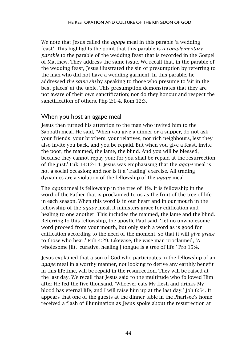We note that Jesus called the *agape* meal in this parable 'a wedding feast'. This highlights the point that this parable is *a complementary parable* to the parable of the wedding feast that is recorded in the Gospel of Matthew. They address the same issue. We recall that, in the parable of the wedding feast, Jesus illustrated the sin of presumption by referring to the man who did not have a wedding garment. In this parable, he addressed *the same sin* by speaking to those who presume to 'sit in the best places' at the table. This presumption demonstrates that they are not aware of their own sanctification; nor do they honour and respect the sanctification of others. Php 2:1-4. Rom 12:3.

## When you host an agape meal

Jesus then turned his attention to the man who invited him to the Sabbath meal. He said, 'When you give a dinner or a supper, do not ask your friends, your brothers, your relatives, nor rich neighbours, lest they also invite you back, and you be repaid. But when you give a feast, invite the poor, the maimed, the lame, the blind. And you will be blessed, because they cannot repay you; for you shall be repaid at the resurrection of the just.' Luk 14:12-14. Jesus was emphasising that the *agape* meal is not a social occasion; and nor is it a 'trading' exercise. All trading dynamics are a violation of the fellowship of the *agape* meal.

The *agape* meal is fellowship in the tree of life. It is fellowship in the word of the Father that is proclaimed to us as the fruit of the tree of life in each season. When this word is in our heart and in our mouth in the fellowship of the *agape* meal, it ministers grace for edification and healing to one another. This includes the maimed, the lame and the blind. Referring to this fellowship, the apostle Paul said, 'Let no unwholesome word proceed from your mouth, but only such a word as is good for edification according to the need of the moment, so that it will *give grace* to those who hear.' Eph 4:29. Likewise, the wise man proclaimed, 'A wholesome [lit. 'curative, healing'] tongue is a tree of life.' Pro 15:4.

Jesus explained that a son of God who participates in the fellowship of an *agape* meal in a worthy manner, not looking to derive any earthly benefit in this lifetime, will be repaid in the resurrection. They will be raised at the last day. We recall that Jesus said to the multitude who followed Him after He fed the five thousand, 'Whoever eats My flesh and drinks My blood has eternal life, and I will raise him up at the last day.' Joh 6:54. It appears that one of the guests at the dinner table in the Pharisee's home received a flash of illumination as Jesus spoke about the resurrection at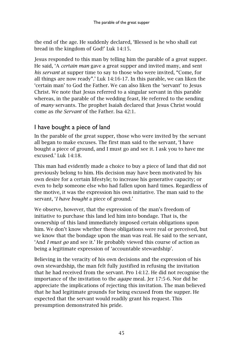the end of the age. He suddenly declared, 'Blessed is he who shall eat bread in the kingdom of God!' Luk 14:15.

Jesus responded to this man by telling him the parable of a great supper. He said, 'A *certain man* gave a great supper and invited many, and sent *his servant* at supper time to say to those who were invited, "Come, for all things are now ready".' Luk 14:16-17. In this parable, we can liken the 'certain man' to God the Father. We can also liken the 'servant' to Jesus Christ. We note that Jesus referred to a singular servant in this parable whereas, in the parable of the wedding feast, He referred to the sending of *many* servants. The prophet Isaiah declared that Jesus Christ would come as *the Servant* of the Father. Isa 42:1.

# I have bought a piece of land

In the parable of the great supper, those who were invited by the servant all began to make excuses. The first man said to the servant, 'I have bought a piece of ground, and I must go and see it. I ask you to have me excused.' Luk 14:18.

This man had evidently made a choice to buy a piece of land that did not previously belong to him. His decision may have been motivated by his own desire for a certain lifestyle; to increase his generative capacity; or even to help someone else who had fallen upon hard times. Regardless of the motive, it was the expression his own initiative. The man said to the servant, '*I have bought* a piece of ground.'

We observe, however, that the expression of the man's freedom of initiative to purchase this land led him into bondage. That is, the ownership of this land immediately imposed certain obligations upon him. We don't know whether these obligations were real or perceived, but we know that the bondage upon the man was real. He said to the servant, 'And *I must go* and see it.' He probably viewed this course of action as being a legitimate expression of 'accountable stewardship'.

Believing in the veracity of his own decisions and the expression of his own stewardship, the man felt fully justified in refusing the invitation that he had received from the servant. Pro 14:12. He did not recognise the importance of the invitation to the *agape* meal. Jer 17:5-6. Nor did he appreciate the implications of rejecting this invitation. The man believed that he had legitimate grounds for being excused from the supper. He expected that the servant would readily grant his request. This presumption demonstrated his pride.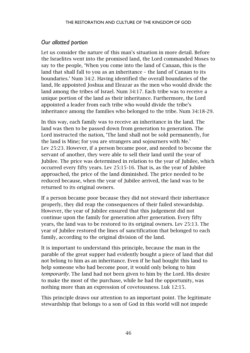#### *Our allotted portion*

Let us consider the nature of this man's situation in more detail. Before the Israelites went into the promised land, the Lord commanded Moses to say to the people, 'When you come into the land of Canaan, this is the land that shall fall to you as an inheritance – the land of Canaan to its boundaries.' Num 34:2. Having identified the overall boundaries of the land, He appointed Joshua and Eleazar as the men who would divide the land among the tribes of Israel. Num 34:17. Each tribe was to receive a unique portion of the land as their inheritance. Furthermore, the Lord appointed a leader from each tribe who would divide the tribe's inheritance among the families who belonged to the tribe. Num 34:18-29.

In this way, each family was to receive an inheritance in the land. The land was then to be passed down from generation to generation. The Lord instructed the nation, 'The land shall not be sold permanently, for the land is Mine; for you are strangers and sojourners with Me.' Lev 25:23. However, if a person became poor, and needed to become the servant of another, they were able to sell their land until the year of Jubilee. The price was determined in relation to the year of Jubilee, which occurred every fifty years. Lev 25:15-16. That is, as the year of Jubilee approached, the price of the land diminished. The price needed to be reduced because, when the year of Jubilee arrived, the land was to be returned to its original owners.

If a person became poor because they did not steward their inheritance properly, they did reap the consequences of their failed stewardship. However, the year of Jubilee ensured that this judgement did not continue upon the family for generation after generation. Every fifty years, the land was to be restored to its original owners. Lev 25:13. The year of Jubilee restored the lines of sanctification that belonged to each family, according to the original division of the land.

It is important to understand this principle, because the man in the parable of the great supper had evidently bought a piece of land that did not belong to him as an inheritance. Even if he had bought this land to help someone who had become poor, it would only belong to him *temporarily*. The land had not been given to him by the Lord. His desire to make the most of the purchase, while he had the opportunity, was nothing more than an expression of covetousness. Luk 12:15.

This principle draws our attention to an important point. The legitimate stewardship that belongs to a son of God in this world will not impede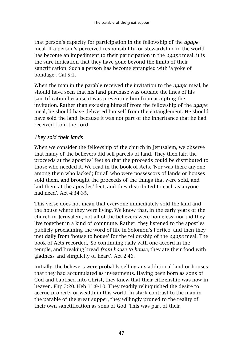that person's capacity for participation in the fellowship of the *agape* meal. If a person's perceived responsibility, or stewardship, in the world has become an impediment to their participation in the *agape* meal, it is the sure indication that they have gone beyond the limits of their sanctification. Such a person has become entangled with 'a yoke of bondage'. Gal 5:1.

When the man in the parable received the invitation to the *agape* meal, he should have seen that his land purchase was outside the lines of his sanctification because it was preventing him from accepting the invitation. Rather than excusing himself from the fellowship of the *agape* meal, he should have delivered himself from the entanglement. He should have sold the land, because it was not part of the inheritance that he had received from the Lord.

### *They sold their lands*

When we consider the fellowship of the church in Jerusalem, we observe that many of the believers did sell parcels of land. They then laid the proceeds at the apostles' feet so that the proceeds could be distributed to those who needed it. We read in the book of Acts, 'Nor was there anyone among them who lacked; for all who were possessors of lands or houses sold them, and brought the proceeds of the things that were sold, and laid them at the apostles' feet; and they distributed to each as anyone had need'. Act 4:34-35.

This verse does not mean that everyone immediately sold the land and the house where they were living. We know that, in the early years of the church in Jerusalem, not all of the believers were homeless; nor did they live together in a kind of commune. Rather, they listened to the apostles publicly proclaiming the word of life in Solomon's Portico, and then they met daily from 'house to house' for the fellowship of the *agape* meal. The book of Acts recorded, 'So continuing daily with one accord in the temple, and breaking bread *from house to house*, they ate their food with gladness and simplicity of heart'. Act 2:46.

Initially, the believers were probably selling any additional land or houses that they had accumulated as investments. Having been born as sons of God and baptised into Christ, they knew that their citizenship was now in heaven. Php 3:20. Heb 11:9-10. They readily relinquished the desire to accrue property or wealth in this world. In stark contrast to the man in the parable of the great supper, they willingly pruned to the reality of their own sanctification as sons of God. This was part of their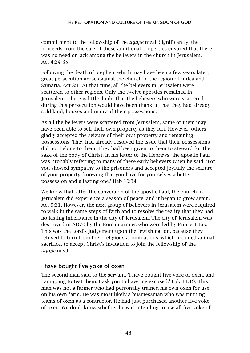commitment to the fellowship of the *agape* meal. Significantly, the proceeds from the sale of these additional properties ensured that there was no need or lack among the believers in the church in Jerusalem. Act 4:34-35.

Following the death of Stephen, which may have been a few years later, great persecution arose against the church in the region of Judea and Samaria. Act 8:1. At that time, all the believers in Jerusalem were scattered to other regions. Only the twelve apostles remained in Jerusalem. There is little doubt that the believers who were scattered during this persecution would have been thankful that they had already sold land, houses and many of their possessions.

As all the believers were scattered from Jerusalem, some of them may have been able to sell their own property as they left. However, others gladly accepted the seizure of their own property and remaining possessions. They had already resolved the issue that their possessions did not belong to them. They had been given to them to steward for the sake of the body of Christ. In his letter to the Hebrews, the apostle Paul was probably referring to many of these early believers when he said, 'For you showed sympathy to the prisoners and accepted joyfully the seizure of your property, knowing that you have for yourselves a better possession and a lasting one.' Heb 10:34.

We know that, after the conversion of the apostle Paul, the church in Jerusalem did experience a season of peace, and it began to grow again. Act 9:31. However, the next group of believers in Jerusalem were required to walk in the same steps of faith and to resolve the reality that they had no lasting inheritance in the city of Jerusalem. The city of Jerusalem was destroyed in AD70 by the Roman armies who were led by Prince Titus. This was the Lord's judgement upon the Jewish nation, because they refused to turn from their religious abominations, which included animal sacrifice, to accept Christ's invitation to join the fellowship of the *agape* meal.

## I have bought five yoke of oxen

The second man said to the servant, 'I have bought five yoke of oxen, and I am going to test them. I ask you to have me excused.' Luk 14:19. This man was not a farmer who had personally trained his own oxen for use on his own farm. He was most likely a businessman who was running teams of oxen as a contractor. He had just purchased another five yoke of oxen. We don't know whether he was intending to use all five yoke of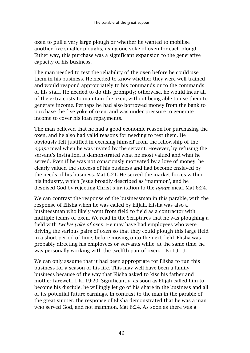oxen to pull a very large plough or whether he wanted to mobilise another five smaller ploughs, using one yoke of oxen for each plough. Either way, this purchase was a significant expansion to the generative capacity of his business.

The man needed to test the reliability of the oxen before he could use them in his business. He needed to know whether they were well trained and would respond appropriately to his commands or to the commands of his staff. He needed to do this promptly; otherwise, he would incur all of the extra costs to maintain the oxen, without being able to use them to generate income. Perhaps he had also borrowed money from the bank to purchase the five yoke of oxen, and was under pressure to generate income to cover his loan repayments.

The man believed that he had a good economic reason for purchasing the oxen, and he also had valid reasons for needing to test them. He obviously felt justified in excusing himself from the fellowship of the *agape* meal when he was invited by the servant. However, by refusing the servant's invitation, it demonstrated what he most valued and what he served. Even if he was not consciously motivated by a love of money, he clearly valued the success of his business and had become enslaved by the needs of his business. Mat 6:21. He served the market forces within his industry, which Jesus broadly described as 'mammon', and he despised God by rejecting Christ's invitation to the *agape* meal. Mat 6:24.

We can contrast the response of the businessman in this parable, with the response of Elisha when he was called by Elijah. Elisha was also a businessman who likely went from field to field as a contractor with multiple teams of oxen. We read in the Scriptures that he was ploughing a field with *twelve yoke of oxen*. He may have had employees who were driving the various pairs of oxen so that they could plough this large field in a short period of time, before moving onto the next field. Elisha was probably directing his employees or servants while, at the same time, he was personally working with the twelfth pair of oxen. 1 Ki 19:19.

We can only assume that it had been appropriate for Elisha to run this business for a season of his life. This may well have been a family business because of the way that Elisha asked to kiss his father and mother farewell. 1 Ki 19:20. Significantly, as soon as Elijah called him to become his disciple, he willingly let go of his share in the business and all of its potential future earnings. In contrast to the man in the parable of the great supper, the response of Elisha demonstrated that he was a man who served God, and not mammon. Mat 6:24. As soon as there was a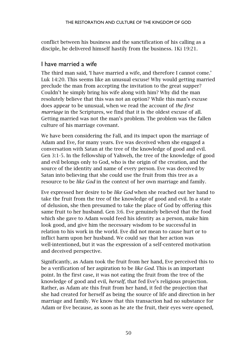conflict between his business and the sanctification of his calling as a disciple, he delivered himself hastily from the business. 1Ki 19:21.

## I have married a wife

The third man said, 'I have married a wife, and therefore I cannot come.' Luk 14:20. This seems like an unusual excuse! Why would getting married preclude the man from accepting the invitation to the great supper? Couldn't he simply bring his wife along with him? Why did the man resolutely believe that this was not an option? While this man's excuse does appear to be unusual, when we read the account of *the first marriage* in the Scriptures, we find that it is the oldest excuse of all. Getting married was not the man's problem. The problem was the fallen culture of his marriage covenant.

We have been considering the Fall, and its impact upon the marriage of Adam and Eve, for many years. Eve was deceived when she engaged a conversation with Satan at the tree of the knowledge of good and evil. Gen 3:1-5. In the fellowship of Yahweh, the tree of the knowledge of good and evil belongs only to God, who is the origin of the creation, and the source of the identity and name of every person. Eve was deceived by Satan into believing that she could use the fruit from this tree as a resource to be *like God* in the context of her own marriage and family.

Eve expressed her desire to be *like God* when she reached out her hand to take the fruit from the tree of the knowledge of good and evil. In a state of delusion, she then presumed to take the place of God by offering this same fruit to her husband. Gen 3:6. Eve genuinely believed that the food which she gave to Adam would feed his identity as a person, make him look good, and give him the necessary wisdom to be successful in relation to his work in the world. Eve did not mean to cause hurt or to inflict harm upon her husband. We could say that her action was well-intentioned, but it was the expression of a self-centered motivation and deceived perspective.

Significantly, as Adam took the fruit from her hand, Eve perceived this to be a verification of her aspiration to be *like God*. This is an important point. In the first case, it was not eating the fruit from the tree of the knowledge of good and evil, *herself,* that fed Eve's religious projection. Rather, as Adam ate this fruit from her hand, it fed the projection that she had created for herself as being the source of life and direction in her marriage and family. We know that this transaction had no substance for Adam or Eve because, as soon as he ate the fruit, their eyes were opened,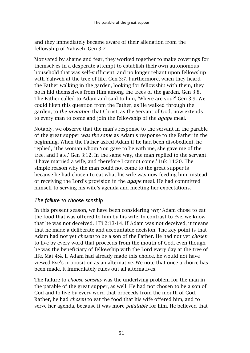and they immediately became aware of their alienation from the fellowship of Yahweh. Gen 3:7.

Motivated by shame and fear, they worked together to make coverings for themselves in a desperate attempt to establish their own autonomous household that was self-sufficient, and no longer reliant upon fellowship with Yahweh at the tree of life. Gen 3:7. Furthermore, when they heard the Father walking in the garden, looking for fellowship with them, they both hid themselves from Him among the trees of the garden. Gen 3:8. The Father called to Adam and said to him, 'Where are you?' Gen 3:9. We could liken this question from the Father, as He walked through the garden, to *the invitation* that Christ, as the Servant of God, now extends to every man to come and join the fellowship of the *agape* meal.

Notably, we observe that the man's response to the servant in the parable of the great supper *was the same* as Adam's response to the Father in the beginning. When the Father asked Adam if he had been disobedient, he replied, 'The woman whom You gave to be with me, she gave me of the tree, and I ate.' Gen 3:12. In the same way, the man replied to the servant, 'I have married a wife, and therefore I cannot come.' Luk 14:20. The simple reason why the man could not come to the great supper is because he had chosen to eat what his wife was now feeding him, instead of receiving the Lord's provision in the *agape* meal. He had committed himself to serving his wife's agenda and meeting her expectations.

### *The failure to choose sonship*

In this present season, we have been considering *why* Adam chose to eat the food that was offered to him by his wife. In contrast to Eve, we know that he was not deceived. 1Ti 2:13-14. If Adam was not deceived, it means that he made a deliberate and accountable decision. The key point is that Adam had not yet *chosen* to be a son of the Father. He had not yet *chosen* to live by every word that proceeds from the mouth of God, even though he was the beneficiary of fellowship with the Lord every day at the tree of life. Mat 4:4. If Adam had already made this choice, he would not have viewed Eve's proposition as an alternative. We note that once a choice has been made, it immediately rules out all alternatives.

The failure to *choose sonship* was the underlying problem for the man in the parable of the great supper, as well. He had not chosen to be a son of God and to live by every word that proceeds from the mouth of God. Rather, he had *chosen* to eat the food that his wife offered him, and to serve her agenda, because it was more *palatable* for him. He believed that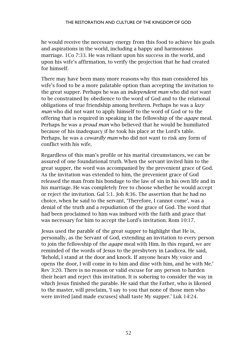he would receive the necessary energy from this food to achieve his goals and aspirations in the world, including a happy and harmonious marriage. 1Co 7:33. He was reliant upon his success in the world, and upon his wife's affirmation, to verify the projection that he had created for himself.

There may have been many more reasons why this man considered his wife's food to be a more palatable option than accepting the invitation to the great supper. Perhaps he was an *independent man* who did not want to be constrained by obedience to the word of God and to the relational obligations of true friendship among brethren. Perhaps he was a *lazy man* who did not want to apply himself to the word of God or to the offering that is required in speaking in the fellowship of the *agape* meal. Perhaps he was a *proud man* who believed that he would be humiliated because of his inadequacy if he took his place at the Lord's table. Perhaps, he was a *cowardly man* who did not want to risk any form of conflict with his wife.

Regardless of this man's profile or his marital circumstances, we can be assured of one foundational truth. When the servant invited him to the great supper, the word was accompanied by the prevenient grace of God. As the invitation was extended to him, the prevenient grace of God released the man from his bondage to the law of sin in his own life and in his marriage. He was completely free to choose whether he would accept or reject the invitation. Gal 5:1. Joh 8:36. The assertion that he had no choice, when he said to the servant, 'Therefore, I cannot come', was a denial of the truth and a repudiation of the grace of God. The word that had been proclaimed to him was imbued with the faith and grace that was necessary for him to accept the Lord's invitation. Rom 10:17.

Jesus used the parable of the great supper to highlight that He is, personally, as the Servant of God, extending an invitation to every person to join the fellowship of the *agape* meal with Him. In this regard, we are reminded of the words of Jesus to the presbytery in Laodicea. He said, 'Behold, I stand at the door and knock. If anyone hears My voice and opens the door, I will come in to him and dine with him, and he with Me.' Rev 3:20. There is no reason or valid excuse for any person to harden their heart and reject this invitation. It is sobering to consider the way in which Jesus finished the parable. He said that the Father, who is likened to the master, will proclaim, 'I say to you that none of those men who were invited [and made excuses] shall taste My supper.' Luk 14:24.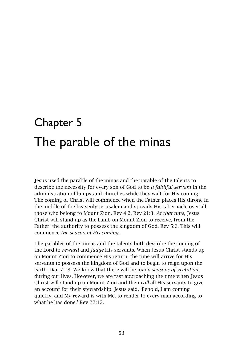# Chapter 5 The parable of the minas

Jesus used the parable of the minas and the parable of the talents to describe the necessity for every son of God to be *a faithful servant* in the administration of lampstand churches while they wait for His coming. The coming of Christ will commence when the Father places His throne in the middle of the heavenly Jerusalem and spreads His tabernacle over all those who belong to Mount Zion. Rev 4:2. Rev 21:3. *At that time*, Jesus Christ will stand up as the Lamb on Mount Zion to receive, from the Father, the authority to possess the kingdom of God. Rev 5:6. This will commence *the season of His coming*.

The parables of the minas and the talents both describe the coming of the Lord to *reward* and *judge* His servants. When Jesus Christ stands up on Mount Zion to commence His return, the time will arrive for His servants to possess the kingdom of God and to begin to reign upon the earth. Dan 7:18. We know that there will be many *seasons of visitation* during our lives. However, we are fast approaching the time when Jesus Christ will stand up on Mount Zion and then *call* all His servants to give an account for their stewardship. Jesus said, 'Behold, I am coming quickly, and My reward is with Me, to render to every man according to what he has done.' Rev 22:12.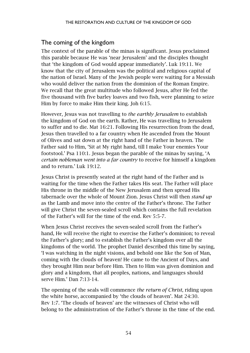## The coming of the kingdom

The context of the parable of the minas is significant. Jesus proclaimed this parable because He was 'near Jerusalem' and the disciples thought that 'the kingdom of God would appear immediately'. Luk 19:11. We know that the city of Jerusalem was the political and religious capital of the nation of Israel. Many of the Jewish people were waiting for a Messiah who would deliver the nation from the dominion of the Roman Empire. We recall that the great multitude who followed Jesus, after He fed the five thousand with five barley loaves and two fish, were planning to seize Him by force to make Him their king. Joh 6:15.

However, Jesus was not travelling to *the earthly Jerusalem* to establish the kingdom of God on the earth. Rather, He was travelling to Jerusalem to suffer and to die. Mat 16:21. Following His resurrection from the dead, Jesus then travelled to a far country when He ascended from the Mount of Olives and sat down at the right hand of the Father in heaven. The Father said to Him, 'Sit at My right hand, till I make Your enemies Your footstool.' Psa 110:1. Jesus began the parable of the minas by saying, 'A *certain nobleman went into a far country* to receive for himself a kingdom and to return.' Luk 19:12.

Jesus Christ is presently seated at the right hand of the Father and is waiting for the time when the Father takes His seat. The Father will place His throne in the middle of the New Jerusalem and then spread His tabernacle over the whole of Mount Zion. Jesus Christ will then *stand up* as the Lamb and move into the centre of the Father's throne. The Father will give Christ the seven-sealed scroll which contains the full revelation of the Father's will for the time of the end. Rev 5:5-7.

When Jesus Christ receives the seven-sealed scroll from the Father's hand, He will receive the right to exercise the Father's dominion; to reveal the Father's glory; and to establish the Father's kingdom over all the kingdoms of the world. The prophet Daniel described this time by saying, 'I was watching in the night visions, and behold one like the Son of Man, coming with the clouds of heaven! He came to the Ancient of Days, and they brought Him near before Him. Then to Him was given dominion and glory and a kingdom, that all peoples, nations, and languages should serve Him.' Dan 7:13-14.

The opening of the seals will commence *the return of Christ*, riding upon the white horse, accompanied by 'the clouds of heaven'. Mat 24:30. Rev 1:7. 'The clouds of heaven' are the witnesses of Christ who will belong to the administration of the Father's throne in the time of the end.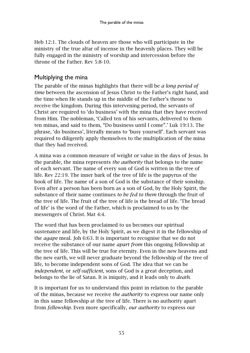Heb 12:1. The clouds of heaven are those who will participate in the ministry of the true altar of incense in the heavenly places. They will be fully engaged in the ministry of worship and intercession before the throne of the Father. Rev 5:8-10.

### Multiplying the mina

The parable of the minas highlights that there will be *a long period of time* between the ascension of Jesus Christ to the Father's right hand, and the time when He stands up in the middle of the Father's throne to receive the kingdom. During this intervening period, the servants of Christ are required to 'do business' with the mina that they have received from Him. The nobleman, 'Called ten of his servants, delivered to them ten minas, and said to them, "Do business until I come".' Luk 19:13. The phrase, 'do business', literally means to 'busy yourself'. Each servant was required to diligently apply themselves to the multiplication of the mina that they had received.

A mina was a common measure of weight or value in the days of Jesus. In the parable, the mina represents *the authority* that belongs to the name of each servant. The name of every son of God is written in the tree of life. Rev 22:19. The inner bark of the tree of life is the papyrus of the book of life. The name of a son of God is the substance of their sonship. Even after a person has been born as a son of God, by the Holy Spirit, the substance of their name continues *to be fed to them* through the fruit of the tree of life. The fruit of the tree of life is the bread of life. 'The bread of life' is the word of the Father, which is proclaimed to us by the messengers of Christ. Mat 4:4.

The word that has been proclaimed to us becomes our spiritual sustenance and life, by the Holy Spirit, as we digest it in the fellowship of the *agape* meal. Joh 6:63. It is important to recognise that we do not receive the substance of our name *apart from* this ongoing fellowship at the tree of life. This will be true for eternity. Even in the new heavens and the new earth, we will never graduate beyond the fellowship of the tree of life, to become independent sons of God. The idea that we can be *independent*, or *self-sufficient*, sons of God is a great deception, and belongs to the lie of Satan. It is iniquity, and it leads only to *death*.

It is important for us to understand this point in relation to the parable of the minas, because we receive *the authority* to express our name only in this same fellowship at the tree of life. There is no authority apart from *fellowship*. Even more specifically, *our authority* to express our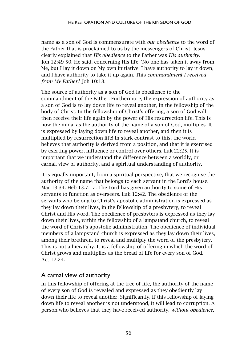name as a son of God is commensurate with *our obedience* to the word of the Father that is proclaimed to us by the messengers of Christ. Jesus clearly explained that *His obedience* to the Father was *His authority*. Joh 12:49-50. He said, concerning His life, 'No-one has taken it away from Me, but I lay it down on My own initiative. I have authority to lay it down, and I have authority to take it up again. This *commandment I received from My Father*.' Joh 10:18.

The source of authority as a son of God is obedience to the commandment of the Father. Furthermore, the expression of authority as a son of God is to lay down life to reveal another, in the fellowship of the body of Christ. In the fellowship of Christ's offering, a son of God will then receive their life again by the power of His resurrection life. This is how the mina, as the authority of the name of a son of God, multiples. It is expressed by laying down life to reveal another, and then it is multiplied by resurrection life! In stark contrast to this, the world believes that authority is derived from a position, and that it is exercised by exerting power, influence or control over others. Luk 22:25. It is important that we understand the difference between a worldly, or carnal, view of authority, and a spiritual understanding of authority.

It is equally important, from a spiritual perspective, that we recognise the authority of the name that belongs to each servant in the Lord's house. Mar 13:34. Heb 13:7,17. The Lord has given authority to some of His servants to function as overseers. Luk 12:42. The obedience of the servants who belong to Christ's apostolic administration is expressed as they lay down their lives, in the fellowship of a presbytery, to reveal Christ and His word. The obedience of presbyters is expressed as they lay down their lives, within the fellowship of a lampstand church, to reveal the word of Christ's apostolic administration. The obedience of individual members of a lampstand church is expressed as they lay down their lives, among their brethren, to reveal and multiply the word of the presbytery. This is not a hierarchy. It is a fellowship of offering in which the word of Christ grows and multiplies as the bread of life for every son of God. Act 12:24.

#### A carnal view of authority

In this fellowship of offering at the tree of life, the authority of the name of every son of God is revealed and expressed as they obediently lay down their life to reveal another. Significantly, if this fellowship of laying down life to reveal another is not understood, it will lead to corruption. A person who believes that they have received authority, *without obedience*,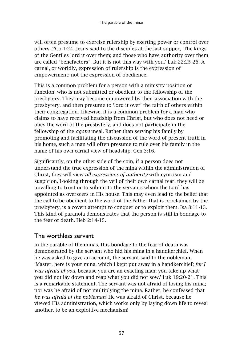will often presume to exercise rulership by exerting power or control over others. 2Co 1:24. Jesus said to the disciples at the last supper, 'The kings of the Gentiles lord it over them; and those who have authority over them are called "benefactors". But it is not this way with you.' Luk 22:25-26. A carnal, or worldly, expression of rulership is the expression of empowerment; not the expression of obedience.

This is a common problem for a person with a ministry position or function, who is not submitted or obedient to the fellowship of the presbytery. They may become empowered by their association with the presbytery, and then presume to 'lord it over' the faith of others within their congregation. Likewise, it is a common problem for a man who claims to have received headship from Christ, but who does not heed or obey the word of the presbytery, and does not participate in the fellowship of the *agape* meal. Rather than serving his family by promoting and facilitating the discussion of the word of present truth in his home, such a man will often presume to rule over his family in the name of his own carnal view of headship. Gen 3:16.

Significantly, on the other side of the coin, if a person does not understand the true expression of the mina within the administration of Christ, they will view *all expressions of authority* with cynicism and suspicion. Looking through the veil of their own carnal fear, they will be unwilling to trust or to submit to the servants whom the Lord has appointed as overseers in His house. This may even lead to the belief that the call to be obedient to the word of the Father that is proclaimed by the presbytery, is a covert attempt to conquer or to exploit them. Isa 8:11-13. This kind of paranoia demonstrates that the person is still in bondage to the fear of death. Heb 2:14-15.

## The worthless servant

In the parable of the minas, this bondage to the fear of death was demonstrated by the servant who hid his mina in a handkerchief. When he was asked to give an account, the servant said to the nobleman, 'Master, here is your mina, which I kept put away in a handkerchief; *for I was afraid of you,* because you are an exacting man; you take up what you did not lay down and reap what you did not sow.' Luk 19:20-21. This is a remarkable statement. The servant was not afraid of losing his mina; nor was he afraid of not multiplying the mina. Rather, he confessed that *he was afraid of the nobleman*! He was afraid of Christ, because he viewed His administration, which works only by laying down life to reveal another, to be an exploitive mechanism!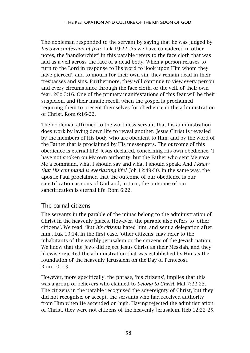The nobleman responded to the servant by saying that he was judged by *his own confession of fear*. Luk 19:22. As we have considered in other notes, the 'handkerchief' in this parable refers to the face cloth that was laid as a veil across the face of a dead body. When a person refuses to turn to the Lord in response to His word to 'look upon Him whom they have pierced', and to mourn for their own sin, they remain dead in their trespasses and sins. Furthermore, they will continue to view every person and every circumstance through the face cloth, or the veil, of their own fear. 2Co 3:16. One of the primary manifestations of this fear will be their suspicion, and their innate recoil, when the gospel is proclaimed requiring them to present themselves for obedience in the administration of Christ. Rom 6:16-22.

The nobleman affirmed to the worthless servant that his administration does work by laying down life to reveal another. Jesus Christ is revealed by the members of His body who are obedient to Him, and by the word of the Father that is proclaimed by His messengers. The outcome of this obedience is eternal life! Jesus declared, concerning His own obedience, 'I have not spoken on My own authority; but the Father who sent Me gave Me a command, what I should say and what I should speak. And *I know that His command is everlasting life*.' Joh 12:49-50. In the same way, the apostle Paul proclaimed that the outcome of our obedience is our sanctification as sons of God and, in turn, the outcome of our sanctification is eternal life. Rom 6:22.

## The carnal citizens

The servants in the parable of the minas belong to the administration of Christ in the heavenly places. However, the parable also refers to 'other citizens'. We read, 'But *his citizens* hated him, and sent a delegation after him'. Luk 19:14. In the first case, 'other citizens' may refer to the inhabitants of the earthly Jerusalem or the citizens of the Jewish nation. We know that the Jews did reject Jesus Christ as their Messiah, and they likewise rejected the administration that was established by Him as the foundation of the heavenly Jerusalem on the Day of Pentecost. Rom 10:1-3.

However, more specifically, the phrase, 'his citizens', implies that this was a group of believers who claimed to *belong to Christ*. Mat 7:22-23. The citizens in the parable recognised the sovereignty of Christ, but they did not recognise, or accept, the servants who had received authority from Him when He ascended on high. Having rejected the administration of Christ, they were not citizens of the heavenly Jerusalem. Heb 12:22-25.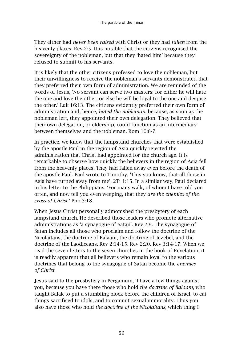They either had *never been raised* with Christ or they had *fallen* from the heavenly places. Rev 2:5. It is notable that the citizens recognised the sovereignty of the nobleman, but that they 'hated him' because they refused to submit to his servants.

It is likely that the other citizens professed to love the nobleman, but their unwillingness to receive the nobleman's servants demonstrated that they preferred their own form of administration. We are reminded of the words of Jesus, 'No servant can serve two masters; for either he will hate the one and love the other, or else he will be loyal to the one and despise the other.' Luk 16:13. The citizens evidently preferred their own form of administration and, hence, *hated the nobleman*, because, as soon as the nobleman left, they appointed their own delegation. They believed that their own delegation, or eldership, could function as an intermediary between themselves and the nobleman. Rom 10:6-7.

In practice, we know that the lampstand churches that were established by the apostle Paul in the region of Asia quickly rejected the administration that Christ had appointed for the church age. It is remarkable to observe how quickly the believers in the region of Asia fell from the heavenly places. They had fallen away even before the death of the apostle Paul. Paul wrote to Timothy, 'This you know, that all those in Asia have turned away from me'. 2Ti 1:15. In a similar way, Paul declared in his letter to the Philippians, 'For many walk, of whom I have told you often, and now tell you even weeping, that they *are the enemies of the cross of Christ*.' Php 3:18.

When Jesus Christ personally admonished the presbytery of each lampstand church, He described those leaders who promote alternative administrations as 'a synagogue of Satan'. Rev 2:9. The synagogue of Satan includes all those who proclaim and follow the doctrine of the Nicolaitans, the doctrine of Balaam, the doctrine of Jezebel, and the doctrine of the Laodiceans. Rev 2:14-15. Rev 2:20. Rev 3:14-17. When we read the seven letters to the seven churches in the book of Revelation, it is readily apparent that all believers who remain loyal to the various doctrines that belong to the synagogue of Satan become the *enemies of Christ*.

Jesus said to the presbytery in Pergamum, 'I have a few things against you, because you have there those who hold *the doctrine of Balaam*, who taught Balak to put a stumbling block before the children of Israel, to eat things sacrificed to idols, and to commit sexual immorality. Thus you also have those who hold *the doctrine of the Nicolaitans,* which thing I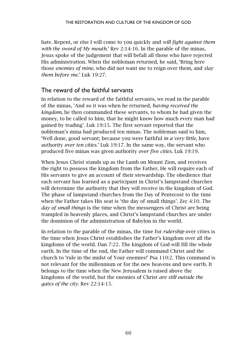hate. Repent, or else I will come to you quickly and *will fight against them with the sword of My mouth*.' Rev 2:14-16. In the parable of the minas, Jesus spoke of the judgement that will befall all those who have rejected His administration. When the nobleman returned, he said, 'Bring here those *enemies of mine,* who did not want me to reign over them, and *slay them before me*.' Luk 19:27.

### The reward of the faithful servants

In relation to the reward of the faithful servants, we read in the parable of the minas, 'And so it was when he returned, *having received the kingdom*, he then commanded these servants, to whom he had given the money, to be called to him, that he might know how much every man had gained by trading'. Luk 19:15. The first servant reported that the nobleman's mina had produced ten minas. The nobleman said to him, 'Well done, good servant; because you were faithful *in a very little*, have authority *over ten cities*.' Luk 19:17. In the same way, the servant who produced five minas was given authority *over five cities.* Luk 19:19.

When Jesus Christ stands up as the Lamb on Mount Zion, and receives the right to possess the kingdom from the Father, He will require each of His servants to give an account of their stewardship. The obedience that each servant has learned as a participant in Christ's lampstand churches will determine the authority that they will receive in the kingdom of God. The phase of lampstand churches from the Day of Pentecost to the time when the Father takes His seat is 'the day of small things'. Zec 4:10. The *day of small things* is the time when the messengers of Christ are being trampled in heavenly places, and Christ's lampstand churches are under the dominion of the administration of Babylon in the world.

In relation to the parable of the minas, the time for *rulership* over cities is the time when Jesus Christ establishes the Father's kingdom over all the kingdoms of the world. Dan 7:22. The kingdom of God will fill the whole earth. In the time of the end, the Father will command Christ and the church to 'rule in the midst of Your enemies!' Psa 110:2. This command is not relevant for the millennium or for the new heavens and new earth. It belongs to the time when the New Jerusalem is raised above the kingdoms of the world, but the enemies of Christ *are still outside the gates of the city*. Rev 22:14-15.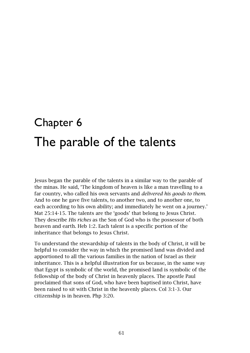# Chapter 6 The parable of the talents

Jesus began the parable of the talents in a similar way to the parable of the minas. He said, 'The kingdom of heaven is like a man travelling to a far country, who called his own servants and *delivered his goods to them*. And to one he gave five talents, to another two, and to another one, to each according to his own ability; and immediately he went on a journey.' Mat 25:14-15. The talents are the 'goods' that belong to Jesus Christ. They describe *His riches* as the Son of God who is the possessor of both heaven and earth. Heb 1:2. Each talent is a specific portion of the inheritance that belongs to Jesus Christ.

To understand the stewardship of talents in the body of Christ, it will be helpful to consider the way in which the promised land was divided and apportioned to all the various families in the nation of Israel as their inheritance. This is a helpful illustration for us because, in the same way that Egypt is symbolic of the world, the promised land is symbolic of the fellowship of the body of Christ in heavenly places. The apostle Paul proclaimed that sons of God, who have been baptised into Christ, have been raised to sit with Christ in the heavenly places. Col 3:1-3. Our citizenship is in heaven. Php 3:20.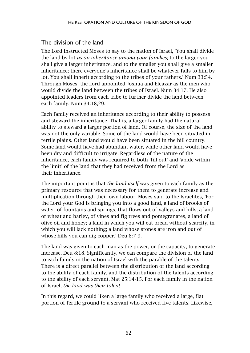## The division of the land

The Lord instructed Moses to say to the nation of Israel, 'You shall divide the land by lot *as an inheritance among your families*; to the larger you shall give a larger inheritance, and to the smaller you shall give a smaller inheritance; there everyone's inheritance shall be whatever falls to him by lot. You shall inherit according to the tribes of your fathers.' Num 33:54. Through Moses, the Lord appointed Joshua and Eleazar as the men who would divide the land between the tribes of Israel. Num 34:17. He also appointed leaders from each tribe to further divide the land between each family. Num 34:18,29.

Each family received an inheritance according to their ability to possess and steward the inheritance. That is, a larger family had the natural ability to steward a larger portion of land. Of course, the size of the land was not the only variable. Some of the land would have been situated in fertile plains. Other land would have been situated in the hill country. Some land would have had abundant water, while other land would have been dry and difficult to irrigate. Regardless of the nature of the inheritance, each family was required to both 'fill out' and 'abide within the limit' of the land that they had received from the Lord as their inheritance.

The important point is that *the land itself* was given to each family as the primary resource that was necessary for them to generate increase and multiplication through their own labour. Moses said to the Israelites, 'For the Lord your God is bringing you into a good land, a land of brooks of water, of fountains and springs, that flows out of valleys and hills; a land of wheat and barley, of vines and fig trees and pomegranates, a land of olive oil and honey; a land in which you will eat bread without scarcity, in which you will lack nothing; a land whose stones are iron and out of whose hills you can dig copper.' Deu 8:7-9.

The land was given to each man as the power, or the capacity, to generate increase. Deu 8:18. Significantly, we can compare the division of the land to each family in the nation of Israel with the parable of the talents. There is a direct parallel between the distribution of the land according to the ability of each family, and the distribution of the talents according to the ability of each servant. Mat 25:14-15. For each family in the nation of Israel, *the land was their talent*.

In this regard, we could liken a large family who received a large, flat portion of fertile ground to a servant who received five talents. Likewise,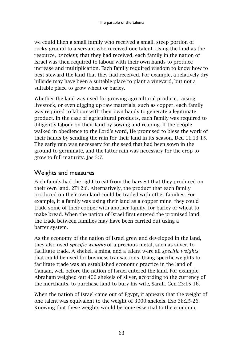we could liken a small family who received a small, steep portion of rocky ground to a servant who received one talent. Using the land as the resource, *or talent*, that they had received, each family in the nation of Israel was then required to labour with their own hands to produce increase and multiplication. Each family required wisdom to know how to best steward the land that they had received. For example, a relatively dry hillside may have been a suitable place to plant a vineyard, but not a suitable place to grow wheat or barley.

Whether the land was used for growing agricultural produce, raising livestock, or even digging up raw materials, such as copper, each family was required to labour with their own hands to generate a legitimate product. In the case of agricultural products, each family was required to diligently labour on their land by sowing and reaping. If the people walked in obedience to the Lord's word, He promised to bless the work of their hands by sending the rain for their land in its season. Deu 11:13-15. The early rain was necessary for the seed that had been sown in the ground to germinate, and the latter rain was necessary for the crop to grow to full maturity. Jas 5:7.

## Weights and measures

Each family had the right to eat from the harvest that they produced on their own land. 2Ti 2:6. Alternatively, the product that each family produced on their own land could be traded with other families. For example, if a family was using their land as a copper mine, they could trade some of their copper with another family, for barley or wheat to make bread. When the nation of Israel first entered the promised land, the trade between families may have been carried out using a barter system.

As the economy of the nation of Israel grew and developed in the land, they also used *specific weights* of a precious metal, such as silver, to facilitate trade. A shekel, a mina, and a talent were all *specific weights* that could be used for business transactions. Using specific weights to facilitate trade was an established economic practice in the land of Canaan, well before the nation of Israel entered the land. For example, Abraham weighed out 400 shekels of silver, according to the currency of the merchants, to purchase land to bury his wife, Sarah. Gen 23:15-16.

When the nation of Israel came out of Egypt, it appears that the weight of one talent was equivalent to the weight of 3000 shekels. Exo 38:25-26. Knowing that these weights would become essential to the economic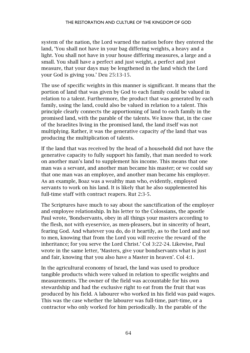system of the nation, the Lord warned the nation before they entered the land, 'You shall not have in your bag differing weights, a heavy and a light. You shall not have in your house differing measures, a large and a small. You shall have a perfect and just weight, a perfect and just measure, that your days may be lengthened in the land which the Lord your God is giving you.' Deu 25:13-15.

The use of specific weights in this manner is significant. It means that the portion of land that was given by God to each family could be valued in relation to a talent. Furthermore, the product that was generated by each family, using the land, could also be valued in relation to a talent. This principle clearly connects the apportioning of land to each family in the promised land, with the parable of the talents. We know that, in the case of the Israelites living in the promised land, the land itself was not multiplying. Rather, it was the generative capacity *of* the land that was producing the multiplication of talents.

If the land that was received by the head of a household did not have the generative capacity to fully support his family, that man needed to work on another man's land to supplement his income. This means that one man was a servant, and another man became his master; or we could say that one man was an employee, and another man became his employer. As an example, Boaz was a wealthy man who, evidently, employed servants to work on his land. It is likely that he also supplemented his full-time staff with contract reapers. Rut 2:3-5.

The Scriptures have much to say about the sanctification of the employer and employee relationship. In his letter to the Colossians, the apostle Paul wrote, 'Bondservants, obey in all things your masters according to the flesh, not with eyeservice, as men-pleasers, but in sincerity of heart, fearing God. And whatever you do, do it heartily, as to the Lord and not to men, knowing that from the Lord you will receive the reward of the inheritance; for you serve the Lord Christ.' Col 3:22-24. Likewise, Paul wrote in the same letter, 'Masters, give your bondservants what is just and fair, knowing that you also have a Master in heaven'. Col 4:1.

In the agricultural economy of Israel, the land was used to produce tangible products which were valued in relation to specific weights and measurements. The owner of the field was accountable for his own stewardship and had the exclusive right to eat from the fruit that was produced by his field. A labourer who worked in his field was paid wages. This was the case whether the labourer was full-time, part-time, or a contractor who only worked for him periodically. In the parable of the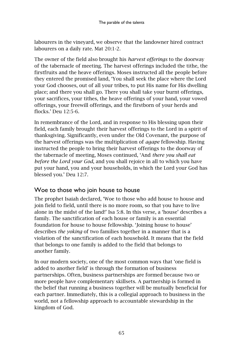labourers in the vineyard, we observe that the landowner hired contract labourers on a daily rate. Mat 20:1-2.

The owner of the field also brought his *harvest offerings* to the doorway of the tabernacle of meeting. The harvest offerings included the tithe, the firstfruits and the heave offerings. Moses instructed all the people before they entered the promised land, 'You shall seek the place where the Lord your God chooses, out of all your tribes, to put His name for His dwelling place; and there you shall go. There you shall take your burnt offerings, your sacrifices, your tithes, the heave offerings of your hand, your vowed offerings, your freewill offerings, and the firstborn of your herds and flocks.' Deu 12:5-6.

In remembrance of the Lord, and in response to His blessing upon their field, each family brought their harvest offerings to the Lord in a spirit of thanksgiving. Significantly, even under the Old Covenant, the purpose of the harvest offerings was the multiplication of *agape* fellowship. Having instructed the people to bring their harvest offerings to the doorway of the tabernacle of meeting, Moses continued, 'And *there you shall eat before the Lord your God*, and you shall rejoice in all to which you have put your hand, you and your households, in which the Lord your God has blessed you.' Deu 12:7.

### Woe to those who join house to house

The prophet Isaiah declared, 'Woe to those who add house to house and join field to field, until there is no more room, so that you have to live alone in the midst of the land!' Isa 5:8. In this verse, a 'house' describes a family. The sanctification of each house or family is an essential foundation for house to house fellowship. 'Joining house to house' describes *the yoking* of two families together in a manner that is a violation of the sanctification of each household. It means that the field that belongs to one family is added to the field that belongs to another family.

In our modern society, one of the most common ways that 'one field is added to another field' is through the formation of business partnerships. Often, business partnerships are formed because two or more people have complementary skillsets. A partnership is formed in the belief that running a business together will be mutually beneficial for each partner. Immediately, this is a collegial approach to business in the world, not a fellowship approach to accountable stewardship in the kingdom of God.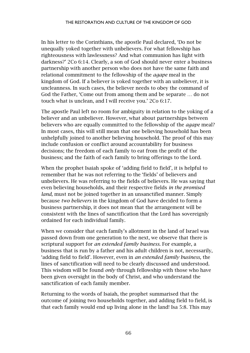In his letter to the Corinthians, the apostle Paul declared, 'Do not be unequally yoked together with unbelievers. For what fellowship has righteousness with lawlessness? And what communion has light with darkness?' 2Co 6:14. Clearly, a son of God should never enter a business partnership with another person who does not have the same faith and relational commitment to the fellowship of the *agape* meal in the kingdom of God. If a believer is yoked together with an unbeliever, it is uncleanness. In such cases, the believer needs to obey the command of God the Father, 'Come out from among them and be separate … do not touch what is unclean, and I will receive you.' 2Co 6:17.

The apostle Paul left no room for ambiguity in relation to the yoking of a believer and an unbeliever. However, what about partnerships between believers who are equally committed to the fellowship of the *agape* meal? In most cases, this will still mean that one believing household has been unhelpfully joined to another believing household. The proof of this may include confusion or conflict around accountability for business decisions; the freedom of each family to eat from the profit of the business; and the faith of each family to bring offerings to the Lord.

When the prophet Isaiah spoke of 'adding field to field', it is helpful to remember that he was not referring to the 'fields' of believers and unbelievers. He was referring to the fields of believers. He was saying that even believing households, and their respective fields *in the promised land*, must not be joined together in an unsanctified manner. Simply because *two believers* in the kingdom of God have decided to form a business partnership, it does not mean that the arrangement will be consistent with the lines of sanctification that the Lord has sovereignly ordained for each individual family.

When we consider that each family's allotment in the land of Israel was passed down from one generation to the next, we observe that there is scriptural support for *an extended family business.* For example, a business that is run by a father and his adult children is not, necessarily, 'adding field to field'. However, even in *an extended family business,* the lines of sanctification will need to be clearly discussed and understood. This wisdom will be found *only* through fellowship with those who have been given oversight in the body of Christ, and who understand the sanctification of each family member.

Returning to the words of Isaiah, the prophet summarised that the outcome of joining two households together, and adding field to field, is that each family would end up living alone in the land! Isa 5:8. This may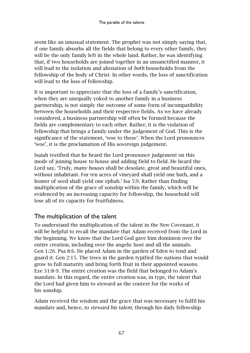seem like an unusual statement. The prophet was not simply saying that, if one family absorbs all the fields that belong to every other family, they will be the only family left in the whole land. Rather, he was identifying that, if two households are joined together in an unsanctified manner, it will lead to the isolation and alienation of *both* households from the fellowship of the body of Christ. In other words, the loss of sanctification will lead to the loss of fellowship.

It is important to appreciate that the loss of a family's sanctification, when they are unequally yoked to another family in a business partnership, is not simply the outcome of some form of incompatibility between the households and their respective fields. As we have already considered, a business partnership will often be formed because the fields are complementary to each other. Rather, it is the violation of fellowship that brings a family under the judgement of God. This is the significance of the statement, 'woe to those'. When the Lord pronounces 'woe', it is the proclamation of His sovereign judgement.

Isaiah testified that he heard the Lord pronounce judgement on this mode of joining house to house and adding field to field. He heard the Lord say, 'Truly, *many houses* shall be desolate, great and beautiful ones, without inhabitant. For ten acres of vineyard shall yield one bath, and a homer of seed shall yield one ephah.' Isa 5:9. Rather than finding multiplication of the grace of sonship within the family, which will be evidenced by an increasing capacity for fellowship, the household will lose all of its capacity for fruitfulness.

## The multiplication of the talent

To understand the multiplication of the talent in the New Covenant, it will be helpful to recall the mandate that Adam received from the Lord in the beginning. We know that the Lord God gave him dominion over the entire creation, including over the angelic host and all the animals. Gen 1:26. Psa 8:6. He placed Adam in the garden of Eden to tend and guard it. Gen 2:15. The trees in the garden typified the nations that would grow to full maturity and bring forth fruit in their appointed seasons. Eze 31:8-9. The entire creation was the field that belonged to Adam's mandate. In this regard, the entire creation was, in type, the talent that the Lord had given him to steward as the context for the works of his sonship.

Adam received the wisdom and the grace that was necessary to fulfil his mandate and, hence, to *steward his talent*, through his daily fellowship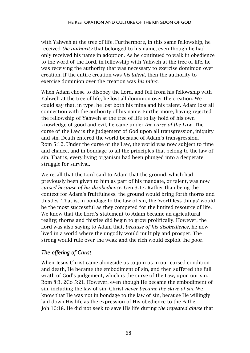with Yahweh at the tree of life. Furthermore, in this same fellowship, he received *the authority* that belonged to his name, even though he had only received his name in adoption. As he continued to walk in obedience to the word of the Lord, in fellowship with Yahweh at the tree of life, he was receiving the authority that was necessary to exercise dominion over creation. If the entire creation was *his talent*, then the authority to exercise dominion over the creation was *his mina*.

When Adam chose to disobey the Lord, and fell from his fellowship with Yahweh at the tree of life, he lost all dominion over the creation. We could say that, in type, he lost both his mina and his talent. Adam lost all connection with the authority of his name. Furthermore, having rejected the fellowship of Yahweh at the tree of life to lay hold of his own knowledge of good and evil, he came under *the curse of the Law*. The curse of the Law is the judgement of God upon all transgression, iniquity and sin. Death entered the world because of Adam's transgression. Rom 5:12. Under the curse of the Law, the world was now subject to time and chance, and in bondage to all the principles that belong to the law of sin. That is, every living organism had been plunged into a desperate struggle for survival.

We recall that the Lord said to Adam that the ground, which had previously been given to him as part of his mandate, or talent, was now *cursed because of his disobedience*. Gen 3:17. Rather than being the context for Adam's fruitfulness, the ground would bring forth thorns and thistles. That is, in bondage to the law of sin, the 'worthless things' would be the most successful as they competed for the limited resource of life. We know that the Lord's statement to Adam became an agricultural reality; thorns and thistles did begin to grow prolifically. However, the Lord was also saying to Adam that, *because of his disobedience*, he now lived in a world where the ungodly would multiply and prosper. The strong would rule over the weak and the rich would exploit the poor.

## *The offering of Christ*

When Jesus Christ came alongside us to join us in our cursed condition and death, He became the embodiment of sin, and then suffered the full wrath of God's judgement, which is the curse of the Law, upon our sin. Rom 8:3. 2Co 5:21. However, even though He became the embodiment of sin, including the law of sin, Christ *never became the slave of sin*. We know that He was not in bondage to the law of sin, because He willingly laid down His life as the expression of His obedience to the Father. Joh 10:18. He did not seek to save His life during *the repeated abuse* that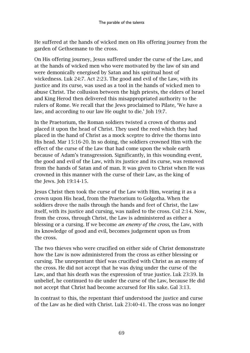He suffered at the hands of wicked men on His offering journey from the garden of Gethsemane to the cross.

On His offering journey, Jesus suffered under the curse of the Law, and at the hands of wicked men who were motivated by the law of sin and were demonically energised by Satan and his spiritual host of wickedness. Luk 24:7. Act 2:23. The good and evil of the Law, with its justice and its curse, was used as a tool in the hands of wicked men to abuse Christ. The collusion between the high priests, the elders of Israel and King Herod then delivered this misappropriated authority to the rulers of Rome. We recall that the Jews proclaimed to Pilate, 'We have a law, and according to our law He ought to die.' Joh 19:7.

In the Praetorium, the Roman soldiers twisted a crown of thorns and placed it upon the head of Christ. They used the reed which they had placed in the hand of Christ as a mock sceptre to drive the thorns into His head. Mar 15:16-20. In so doing, the soldiers crowned Him with the effect of the curse of the Law that had come upon the whole earth because of Adam's transgression. Significantly, in this wounding event, the good and evil of the Law, with its justice and its curse, was removed from the hands of Satan and of man. It was given to Christ when He was crowned in this manner with the curse of their Law, as the king of the Jews. Joh 19:14-15.

Jesus Christ then took the curse of the Law with Him, wearing it as a crown upon His head, from the Praetorium to Golgotha. When the soldiers drove the nails through the hands and feet of Christ, the Law itself, with its justice and cursing, was nailed to the cross. Col 2:14. Now, from the cross, through Christ, the Law is administered as either a blessing or a cursing. If we become *an enemy of the cross*, the Law, with its knowledge of good and evil, becomes judgement upon us from the cross.

The two thieves who were crucified on either side of Christ demonstrate how the Law is now administered from the cross as either blessing or cursing. The unrepentant thief was crucified with Christ as an enemy of the cross. He did not accept that he was dying under the curse of the Law, and that his death was the expression of true justice. Luk 23:39. In unbelief, he continued to die under the curse of the Law, because He did not accept that Christ had become accursed for His sake. Gal 3:13.

In contrast to this, the repentant thief understood the justice and curse of the Law as he died with Christ. Luk 23:40-41. The cross was no longer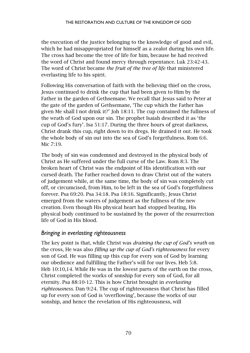the execution of the justice belonging to the knowledge of good and evil, which he had misappropriated for himself as a zealot during his own life. The cross had become the tree of life for him, because he had received the word of Christ and found mercy through repentance. Luk 23:42-43. The word of Christ became *the fruit of the tree of life* that ministered everlasting life to his spirit.

Following His conversation of faith with the believing thief on the cross, Jesus continued to drink the cup that had been given to Him by the Father in the garden of Gethsemane. We recall that Jesus said to Peter at the gate of the garden of Gethsemane, 'The cup which the Father has given Me shall I not drink it?' Joh 18:11. The cup contained the fullness of the wrath of God upon our sin. The prophet Isaiah described it as 'the cup of God's fury'. Isa 51:17. During the three hours of great darkness, Christ drank this cup, right down to its dregs. He drained it out. He took the whole body of sin out into the sea of God's forgetfulness. Rom 6:6. Mic 7:19.

The body of sin was condemned and destroyed in the physical body of Christ as He suffered under the full curse of the Law. Rom 8:3. The broken heart of Christ was the endpoint of His identification with our cursed death. The Father reached down to draw Christ out of the waters of judgement while, at the same time, the body of sin was completely cut off, or circumcised, from Him, to be left in the sea of God's forgetfulness forever. Psa 69:20. Psa 34:18. Psa 18:16. Significantly, Jesus Christ emerged from the waters of judgement as the fullness of the new creation. Even though His physical heart had stopped beating, His physical body continued to be sustained by the power of the resurrection life of God in His blood.

#### *Bringing in everlasting righteousness*

The key point is that, while Christ was *draining the cup of God's wrath* on the cross, He was also *filling up the cup of God's righteousness* for every son of God. He was filling up this cup for every son of God by learning our obedience and fulfilling the Father's will for our lives. Heb 5:8. Heb 10:10,14. While He was in the lowest parts of the earth on the cross, Christ completed the works of sonship for every son of God, for all eternity. Psa 88:10-12. This is how Christ brought in *everlasting righteousness*. Dan 9:24. The cup of righteousness that Christ has filled up for every son of God is 'overflowing', because the works of our sonship, and hence the revelation of His righteousness, will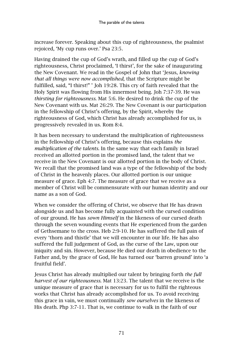increase forever. Speaking about this cup of righteousness, the psalmist rejoiced, 'My cup runs over.' Psa 23:5.

Having drained the cup of God's wrath, and filled up the cup of God's righteousness, Christ proclaimed, 'I thirst', for the sake of inaugurating the New Covenant. We read in the Gospel of John that 'Jesus, *knowing that all things were now accomplished,* that the Scripture might be fulfilled, said, "I thirst!" ' Joh 19:28. This cry of faith revealed that the Holy Spirit was flowing from His innermost being. Joh 7:37-39. He was *thirsting for righteousness*. Mat 5:6. He desired to drink the cup of the New Covenant with us. Mat 26:29. The New Covenant is our participation in the fellowship of Christ's offering, by the Spirit, whereby the righteousness of God, which Christ has already accomplished for us, is progressively revealed in us. Rom 8:4.

It has been necessary to understand the multiplication of righteousness in the fellowship of Christ's offering, because this explains *the multiplication of the talents*. In the same way that each family in Israel received an allotted portion in the promised land, the talent that we receive in the New Covenant is our allotted portion in the body of Christ. We recall that the promised land was a type of the fellowship of the body of Christ in the heavenly places. Our allotted portion is our unique measure of grace. Eph 4:7. The measure of grace that we receive as a member of Christ will be commensurate with our human identity and our name as a son of God.

When we consider the offering of Christ, we observe that He has drawn alongside us and has become fully acquainted with the cursed condition of our ground. He has *sown Himself* in the likeness of our cursed death through the seven wounding events that He experienced from the garden of Gethsemane to the cross. Heb 2:9-10. He has suffered the full pain of every 'thorn and thistle' that we will encounter in our life. He has also suffered the full judgement of God, as the curse of the Law, upon our iniquity and sin. However, because He died our death in obedience to the Father and, by the grace of God, He has turned our 'barren ground' into 'a fruitful field'.

Jesus Christ has already multiplied our talent by bringing forth *the full harvest of our righteousness*. Mat 13:23. The talent that we receive is the unique measure of grace that is necessary for us to fulfil the righteous works that Christ has already accomplished for us. To avoid receiving this grace in vain, we must continually *sow ourselves* in the likeness of His death. Php 3:7-11. That is, we continue to walk in the faith of our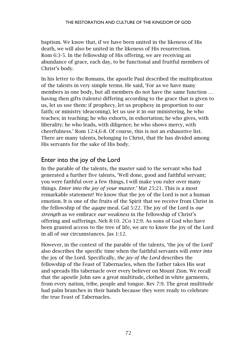baptism. We know that, if we have been united in the likeness of His death, we will also be united in the likeness of His resurrection. Rom 6:3-5. In the fellowship of His offering, we are receiving an abundance of grace, each day, to be functional and fruitful members of Christ's body.

In his letter to the Romans, the apostle Paul described the multiplication of the talents in very simple terms. He said, 'For as we have many members in one body, but all members do not have the same function … having then gifts (talents) differing according to the grace that is given to us, let us use them: if prophecy, let us prophesy in proportion to our faith; or ministry (deaconing), let us use it in our ministering, he who teaches; in teaching; he who exhorts, in exhortation; he who gives, with liberality; he who leads, with diligence; he who shows mercy, with cheerfulness.' Rom 12:4,6-8. Of course, this is not an exhaustive list. There are many talents, belonging to Christ, that He has divided among His servants for the sake of His body.

### Enter into the joy of the Lord

In the parable of the talents, the master said to the servant who had generated a further five talents, 'Well done, good and faithful servant; you were faithful over a few things, I will make you ruler over many things. *Enter into the joy of your master*.' Mat 25:21. This is a most remarkable statement! We know that the joy of the Lord is not a human emotion. It is one of the fruits of the Spirit that we receive from Christ in the fellowship of the *agape* meal. Gal 5:22. The joy of the Lord is *our strength* as we embrace *our weakness* in the fellowship of Christ's offering and sufferings. Neh 8:10. 2Co 12:9. As sons of God who have been granted access to the tree of life, we are to know the joy of the Lord in all of our circumstances. Jas 1:12.

However, in the context of the parable of the talents, 'the joy of the Lord' also describes the specific time when the faithful servants will *enter into* the joy of the Lord. Specifically, *the joy of the Lord* describes the fellowship of the Feast of Tabernacles, when the Father takes His seat and spreads His tabernacle over every believer on Mount Zion. We recall that the apostle John saw a great multitude, clothed in white garments, from every nation, tribe, people and tongue. Rev 7:9. The great multitude had palm branches in their hands because they were ready to celebrate the true Feast of Tabernacles.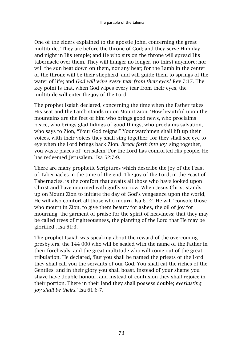One of the elders explained to the apostle John, concerning the great multitude, 'They are before the throne of God; and they serve Him day and night in His temple; and He who sits on the throne will spread His tabernacle over them. They will hunger no longer, no thirst anymore; nor will the sun beat down on them, nor any heat; for the Lamb in the center of the throne will be their shepherd, and will guide them to springs of the water of life; and *God will wipe every tear from their eyes*.' Rev 7:17. The key point is that, when God wipes every tear from their eyes, the multitude will enter the joy of the Lord.

The prophet Isaiah declared, concerning the time when the Father takes His seat and the Lamb stands up on Mount Zion, 'How beautiful upon the mountains are the feet of him who brings good news, who proclaims peace, who brings glad tidings of good things, who proclaims salvation, who says to Zion, "Your God reigns!" Your watchmen shall lift up their voices, with their voices they shall sing together; for they shall see eye to eye when the Lord brings back Zion. *Break forth into joy*, sing together, you waste places of Jerusalem! For the Lord has comforted His people, He has redeemed Jerusalem.' Isa 52:7-9.

There are many prophetic Scriptures which describe the joy of the Feast of Tabernacles in the time of the end. The joy of the Lord, in the Feast of Tabernacles, is the comfort that awaits all those who have looked upon Christ and have mourned with godly sorrow. When Jesus Christ stands up on Mount Zion to initiate the day of God's vengeance upon the world, He will also comfort all those who mourn. Isa 61:2. He will 'console those who mourn in Zion, to give them beauty for ashes, the oil of joy for mourning, the garment of praise for the spirit of heaviness; that they may be called trees of righteousness, the planting of the Lord that He may be glorified'. Isa 61:3.

The prophet Isaiah was speaking about the reward of the overcoming presbyters, the 144 000 who will be sealed with the name of the Father in their foreheads, and the great multitude who will come out of the great tribulation. He declared, 'But you shall be named the priests of the Lord, they shall call you the servants of our God. You shall eat the riches of the Gentiles, and in their glory you shall boast. Instead of your shame you shave have double honour, and instead of confusion they shall rejoice in their portion. There in their land they shall possess double; *everlasting joy shall be theirs.*' Isa 61:6-7.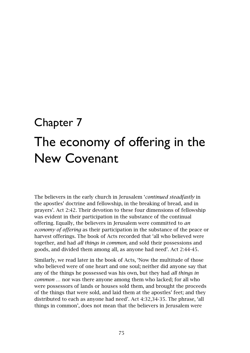## Chapter 7

# The economy of offering in the New Covenant

The believers in the early church in Jerusalem '*continued steadfastly* in the apostles' doctrine and fellowship, in the breaking of bread, and in prayers'. Act 2:42. Their devotion to these four dimensions of fellowship was evident in their participation in the substance of the continual offering. Equally, the believers in Jerusalem were committed to *an economy of offering* as their participation in the substance of the peace or harvest offerings. The book of Acts recorded that 'all who believed were together, and had *all things in common,* and sold their possessions and goods, and divided them among all, as anyone had need'. Act 2:44-45.

Similarly, we read later in the book of Acts, 'Now the multitude of those who believed were of one heart and one soul; neither did anyone say that any of the things he possessed was his own, but they had *all things in common* … nor was there anyone among them who lacked; for all who were possessors of lands or houses sold them, and brought the proceeds of the things that were sold, and laid them at the apostles' feet; and they distributed to each as anyone had need'. Act 4:32,34-35. The phrase, 'all things in common', does not mean that the believers in Jerusalem were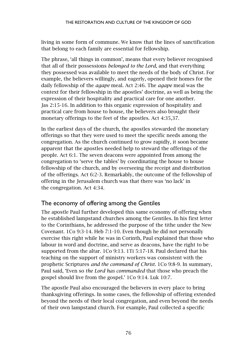living in some form of commune. We know that the lines of sanctification that belong to each family are essential for fellowship.

The phrase, 'all things in common', means that every believer recognised that all of their possessions *belonged to the Lord*, and that everything they possessed was available to meet the needs of the body of Christ. For example, the believers willingly, and eagerly, opened their homes for the daily fellowship of the *agape* meal. Act 2:46. The *agape* meal was the context for their fellowship in the apostles' doctrine, as well as being the expression of their hospitality and practical care for one another. Jas 2:15-16. In addition to this organic expression of hospitality and practical care from house to house, the believers also brought their monetary offerings to the feet of the apostles. Act 4:35,37.

In the earliest days of the church, the apostles stewarded the monetary offerings so that they were used to meet the specific needs among the congregation. As the church continued to grow rapidly, it soon became apparent that the apostles needed help to steward the offerings of the people. Act 6:1. The seven deacons were appointed from among the congregation to 'serve the tables' by coordinating the house to house fellowship of the church, and by overseeing the receipt and distribution of the offerings. Act 6:2-3. Remarkably, the outcome of the fellowship of offering in the Jerusalem church was that there was 'no lack' in the congregation. Act 4:34.

#### The economy of offering among the Gentiles

The apostle Paul further developed this same economy of offering when he established lampstand churches among the Gentiles. In his first letter to the Corinthians, he addressed the purpose of the tithe under the New Covenant. 1Co 9:3-14. Heb 7:1-10. Even though he did not personally exercise this right while he was in Corinth, Paul explained that those who labour in word and doctrine, and serve as deacons, have the right to be supported from the altar. 1Co 9:13. 1Ti 5:17-18. Paul declared that his teaching on the support of ministry workers was consistent with the prophetic Scriptures *and the command of Christ.* 1Co 9:8-9. In summary, Paul said, 'Even so *the Lord has commanded* that those who preach the gospel should live from the gospel.' 1Co 9:14. Luk 10:7.

The apostle Paul also encouraged the believers in every place to bring thanksgiving offerings. In some cases, the fellowship of offering extended beyond the needs of their local congregation, and even beyond the needs of their own lampstand church. For example, Paul collected a specific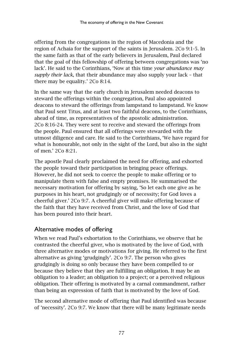offering from the congregations in the region of Macedonia and the region of Achaia for the support of the saints in Jerusalem. 2Co 9:1-5. In the same faith as that of the early believers in Jerusalem, Paul declared that the goal of this fellowship of offering between congregations was 'no lack'. He said to the Corinthians, 'Now at this time *your abundance may supply their lack*, that their abundance may also supply your lack – that there may be equality.' 2Co 8:14.

In the same way that the early church in Jerusalem needed deacons to steward the offerings within the congregation, Paul also appointed deacons to steward the offerings from lampstand to lampstand. We know that Paul sent Titus, and at least two faithful deacons, to the Corinthians, ahead of time, as representatives of the apostolic administration. 2Co 8:16-24. They were sent to receive and steward the offerings from the people. Paul ensured that all offerings were stewarded with the utmost diligence and care. He said to the Corinthians, 'We have regard for what is honourable, not only in the sight of the Lord, but also in the sight of men.' 2Co 8:21.

The apostle Paul clearly proclaimed the need for offering, and exhorted the people toward their participation in bringing peace offerings. However, he did not seek to coerce the people to make offering or to manipulate them with false and empty promises. He summarised the necessary motivation for offering by saying, 'So let each one give as he purposes in his heart, not grudgingly or of necessity; for God loves a cheerful giver.' 2Co 9:7. A cheerful giver will make offering because of the faith that they have received from Christ, and the love of God that has been poured into their heart.

#### Alternative modes of offering

When we read Paul's exhortation to the Corinthians, we observe that he contrasted the cheerful giver, who is motivated by the love of God, with three alternative modes or motivations for giving. He referred to the first alternative as giving 'grudgingly'. 2Co 9:7. The person who gives grudgingly is doing so only because they have been compelled to or because they believe that they are fulfilling an obligation. It may be an obligation to a leader; an obligation to a project; or a perceived religious obligation. Their offering is motivated by a carnal commandment, rather than being an expression of faith that is motivated by the love of God.

The second alternative mode of offering that Paul identified was because of 'necessity'. 2Co 9:7. We know that there will be many legitimate needs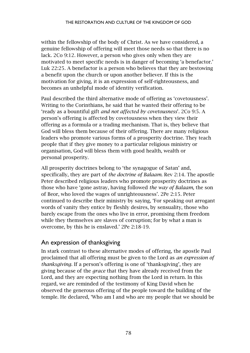within the fellowship of the body of Christ. As we have considered, a genuine fellowship of offering will meet those needs so that there is no lack. 2Co 9:12. However, a person who gives only when they are motivated to meet specific needs is in danger of becoming 'a benefactor.' Luk 22:25. A benefactor is a person who believes that they are bestowing a benefit upon the church or upon another believer. If this is the motivation for giving, it is an expression of self-righteousness, and becomes an unhelpful mode of identity verification.

Paul described the third alternative mode of offering as 'covetousness'. Writing to the Corinthians, he said that he wanted their offering to be 'ready as a bountiful gift *and not affected by covetousness*'*.* 2Co 9:5. A person's offering is affected by covetousness when they view their offering as a formula or a trading mechanism. That is, they believe that God will bless them because of their offering. There are many religious leaders who promote various forms of a prosperity doctrine. They teach people that if they give money to a particular religious ministry or organisation, God will bless them with good health, wealth or personal prosperity.

All prosperity doctrines belong to 'the synagogue of Satan' and, specifically, they are part of *the doctrine of Balaam*. Rev 2:14. The apostle Peter described religious leaders who promote prosperity doctrines as those who have 'gone astray, having followed *the way of Balaam,* the son of Beor, who loved the wages of unrighteousness'. 2Pe 2:15. Peter continued to describe their ministry by saying, 'For speaking out arrogant words of vanity they entice by fleshly desires, by sensuality, those who barely escape from the ones who live in error, promising them freedom while they themselves are slaves of corruption; for by what a man is overcome, by this he is enslaved.' 2Pe 2:18-19.

#### An expression of thanksgiving

In stark contrast to these alternative modes of offering, the apostle Paul proclaimed that all offering must be given to the Lord as *an expression of thanksgiving*. If a person's offering is one of 'thanksgiving', they are giving because of the *grace* that they have already received from the Lord, and they are expecting nothing from the Lord in return. In this regard, we are reminded of the testimony of King David when he observed the generous offering of the people toward the building of the temple. He declared, 'Who am I and who are my people that we should be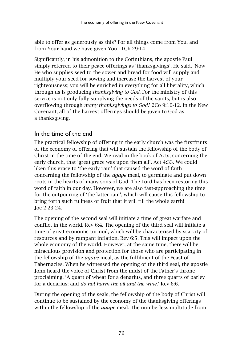able to offer as generously as this? For all things come from You, and from Your hand we have given You.' 1Ch 29:14.

Significantly, in his admonition to the Corinthians, the apostle Paul simply referred to their peace offerings as 'thanksgivings'. He said, 'Now He who supplies seed to the sower and bread for food will supply and multiply your seed for sowing and increase the harvest of your righteousness; you will be enriched in everything for all liberality, which through us is producing *thanksgiving to God.* For the ministry of this service is not only fully supplying the needs of the saints, but is also overflowing through *many thanksgivings to God.*' 2Co 9:10-12. In the New Covenant, all of the harvest offerings should be given to God as a thanksgiving.

#### In the time of the end

The practical fellowship of offering in the early church was the firstfruits of the economy of offering that will sustain the fellowship of the body of Christ in the time of the end. We read in the book of Acts, concerning the early church, that 'great grace was upon them all'. Act 4:33. We could liken this grace to 'the early rain' that caused the word of faith concerning the fellowship of the *agape* meal, to germinate and put down roots in the hearts of many sons of God. The Lord has been restoring this word of faith in our day. However, we are also fast-approaching the time for the outpouring of 'the latter rain', which will cause this fellowship to bring forth such fullness of fruit that it will fill the whole earth! Joe 2:23-24.

The opening of the second seal will initiate a time of great warfare and conflict in the world. Rev 6:4. The opening of the third seal will initiate a time of great economic turmoil, which will be characterised by scarcity of resources and by rampant inflation. Rev 6:5. This will impact upon the whole economy of the world. However, at the same time, there will be miraculous provision and protection for those who are participating in the fellowship of the *agape* meal, as the fulfilment of the Feast of Tabernacles. When he witnessed the opening of the third seal, the apostle John heard the voice of Christ from the midst of the Father's throne proclaiming, 'A quart of wheat for a denarius, and three quarts of barley for a denarius; and *do not harm the oil and the wine.*' Rev 6:6.

During the opening of the seals, the fellowship of the body of Christ will continue to be sustained by the economy of the thanksgiving offerings within the fellowship of the *agape* meal. The numberless multitude from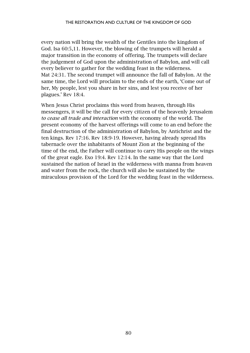every nation will bring the wealth of the Gentiles into the kingdom of God. Isa 60:5,11. However, the blowing of the trumpets will herald a major transition in the economy of offering. The trumpets will declare the judgement of God upon the administration of Babylon, and will call every believer to gather for the wedding feast in the wilderness. Mat 24:31. The second trumpet will announce the fall of Babylon. At the same time, the Lord will proclaim to the ends of the earth, 'Come out of her, My people, lest you share in her sins, and lest you receive of her plagues.' Rev 18:4.

When Jesus Christ proclaims this word from heaven, through His messengers, it will be the call for every citizen of the heavenly Jerusalem *to cease all trade and interaction* with the economy of the world. The present economy of the harvest offerings will come to an end before the final destruction of the administration of Babylon, by Antichrist and the ten kings. Rev 17:16. Rev 18:9-19. However, having already spread His tabernacle over the inhabitants of Mount Zion at the beginning of the time of the end, the Father will continue to carry His people on the wings of the great eagle. Exo 19:4. Rev 12:14. In the same way that the Lord sustained the nation of Israel in the wilderness with manna from heaven and water from the rock, the church will also be sustained by the miraculous provision of the Lord for the wedding feast in the wilderness.